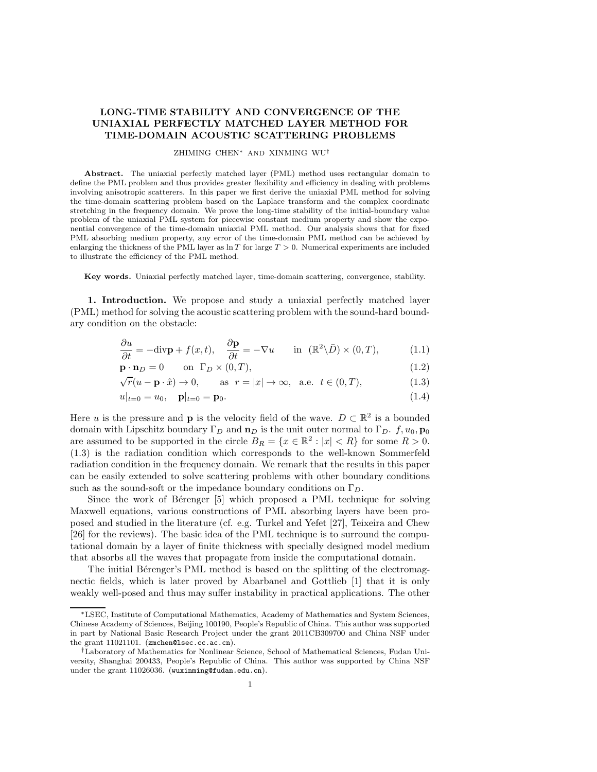## LONG-TIME STABILITY AND CONVERGENCE OF THE UNIAXIAL PERFECTLY MATCHED LAYER METHOD FOR TIME-DOMAIN ACOUSTIC SCATTERING PROBLEMS

## ZHIMING CHEN<sup>∗</sup> AND XINMING WU†

Abstract. The uniaxial perfectly matched layer (PML) method uses rectangular domain to define the PML problem and thus provides greater flexibility and efficiency in dealing with problems involving anisotropic scatterers. In this paper we first derive the uniaxial PML method for solving the time-domain scattering problem based on the Laplace transform and the complex coordinate stretching in the frequency domain. We prove the long-time stability of the initial-boundary value problem of the uniaxial PML system for piecewise constant medium property and show the exponential convergence of the time-domain uniaxial PML method. Our analysis shows that for fixed PML absorbing medium property, any error of the time-domain PML method can be achieved by enlarging the thickness of the PML layer as  $\ln T$  for large  $T > 0$ . Numerical experiments are included to illustrate the efficiency of the PML method.

Key words. Uniaxial perfectly matched layer, time-domain scattering, convergence, stability.

1. Introduction. We propose and study a uniaxial perfectly matched layer (PML) method for solving the acoustic scattering problem with the sound-hard boundary condition on the obstacle:

$$
\frac{\partial u}{\partial t} = -\text{div}\mathbf{p} + f(x, t), \quad \frac{\partial \mathbf{p}}{\partial t} = -\nabla u \quad \text{in } (\mathbb{R}^2 \setminus \bar{D}) \times (0, T), \tag{1.1}
$$

$$
\mathbf{p} \cdot \mathbf{n}_D = 0 \qquad \text{on } \Gamma_D \times (0, T), \tag{1.2}
$$

$$
\sqrt{r}(u - \mathbf{p} \cdot \hat{x}) \to 0, \qquad \text{as } r = |x| \to \infty, \text{ a.e. } t \in (0, T), \tag{1.3}
$$

$$
u|_{t=0} = u_0, \quad \mathbf{p}|_{t=0} = \mathbf{p}_0. \tag{1.4}
$$

Here *u* is the pressure and **p** is the velocity field of the wave.  $D \subset \mathbb{R}^2$  is a bounded domain with Lipschitz boundary  $\Gamma_D$  and  $\mathbf{n}_D$  is the unit outer normal to  $\Gamma_D$ .  $f, u_0, \mathbf{p}_0$ are assumed to be supported in the circle  $B_R = \{x \in \mathbb{R}^2 : |x| < R\}$  for some  $R > 0$ . (1.3) is the radiation condition which corresponds to the well-known Sommerfeld radiation condition in the frequency domain. We remark that the results in this paper can be easily extended to solve scattering problems with other boundary conditions such as the sound-soft or the impedance boundary conditions on  $\Gamma_D$ .

Since the work of Bérenger [5] which proposed a PML technique for solving Maxwell equations, various constructions of PML absorbing layers have been proposed and studied in the literature (cf. e.g. Turkel and Yefet [27], Teixeira and Chew [26] for the reviews). The basic idea of the PML technique is to surround the computational domain by a layer of finite thickness with specially designed model medium that absorbs all the waves that propagate from inside the computational domain.

The initial Bérenger's PML method is based on the splitting of the electromagnectic fields, which is later proved by Abarbanel and Gottlieb [1] that it is only weakly well-posed and thus may suffer instability in practical applications. The other

<sup>∗</sup>LSEC, Institute of Computational Mathematics, Academy of Mathematics and System Sciences, Chinese Academy of Sciences, Beijing 100190, People's Republic of China. This author was supported in part by National Basic Research Project under the grant 2011CB309700 and China NSF under the grant 11021101. (zmchen@lsec.cc.ac.cn).

<sup>†</sup>Laboratory of Mathematics for Nonlinear Science, School of Mathematical Sciences, Fudan University, Shanghai 200433, People's Republic of China. This author was supported by China NSF under the grant 11026036. (wuxinming@fudan.edu.cn).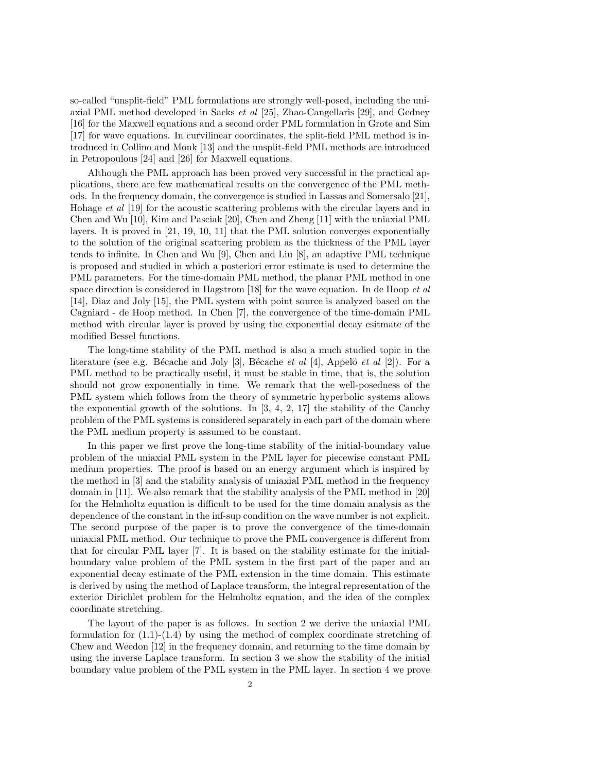so-called "unsplit-field" PML formulations are strongly well-posed, including the uniaxial PML method developed in Sacks et al [25], Zhao-Cangellaris [29], and Gedney [16] for the Maxwell equations and a second order PML formulation in Grote and Sim [17] for wave equations. In curvilinear coordinates, the split-field PML method is introduced in Collino and Monk [13] and the unsplit-field PML methods are introduced in Petropoulous [24] and [26] for Maxwell equations.

Although the PML approach has been proved very successful in the practical applications, there are few mathematical results on the convergence of the PML methods. In the frequency domain, the convergence is studied in Lassas and Somersalo [21], Hohage et al [19] for the acoustic scattering problems with the circular layers and in Chen and Wu [10], Kim and Pasciak [20], Chen and Zheng [11] with the uniaxial PML layers. It is proved in [21, 19, 10, 11] that the PML solution converges exponentially to the solution of the original scattering problem as the thickness of the PML layer tends to infinite. In Chen and Wu [9], Chen and Liu [8], an adaptive PML technique is proposed and studied in which a posteriori error estimate is used to determine the PML parameters. For the time-domain PML method, the planar PML method in one space direction is considered in Hagstrom  $[18]$  for the wave equation. In de Hoop *et al* [14], Diaz and Joly [15], the PML system with point source is analyzed based on the Cagniard - de Hoop method. In Chen [7], the convergence of the time-domain PML method with circular layer is proved by using the exponential decay esitmate of the modified Bessel functions.

The long-time stability of the PML method is also a much studied topic in the literature (see e.g. Bécache and Joly [3], Bécache et al [4], Appelö et al [2]). For a PML method to be practically useful, it must be stable in time, that is, the solution should not grow exponentially in time. We remark that the well-posedness of the PML system which follows from the theory of symmetric hyperbolic systems allows the exponential growth of the solutions. In  $[3, 4, 2, 17]$  the stability of the Cauchy problem of the PML systems is considered separately in each part of the domain where the PML medium property is assumed to be constant.

In this paper we first prove the long-time stability of the initial-boundary value problem of the uniaxial PML system in the PML layer for piecewise constant PML medium properties. The proof is based on an energy argument which is inspired by the method in [3] and the stability analysis of uniaxial PML method in the frequency domain in [11]. We also remark that the stability analysis of the PML method in [20] for the Helmholtz equation is difficult to be used for the time domain analysis as the dependence of the constant in the inf-sup condition on the wave number is not explicit. The second purpose of the paper is to prove the convergence of the time-domain uniaxial PML method. Our technique to prove the PML convergence is different from that for circular PML layer [7]. It is based on the stability estimate for the initialboundary value problem of the PML system in the first part of the paper and an exponential decay estimate of the PML extension in the time domain. This estimate is derived by using the method of Laplace transform, the integral representation of the exterior Dirichlet problem for the Helmholtz equation, and the idea of the complex coordinate stretching.

The layout of the paper is as follows. In section 2 we derive the uniaxial PML formulation for  $(1.1)-(1.4)$  by using the method of complex coordinate stretching of Chew and Weedon [12] in the frequency domain, and returning to the time domain by using the inverse Laplace transform. In section 3 we show the stability of the initial boundary value problem of the PML system in the PML layer. In section 4 we prove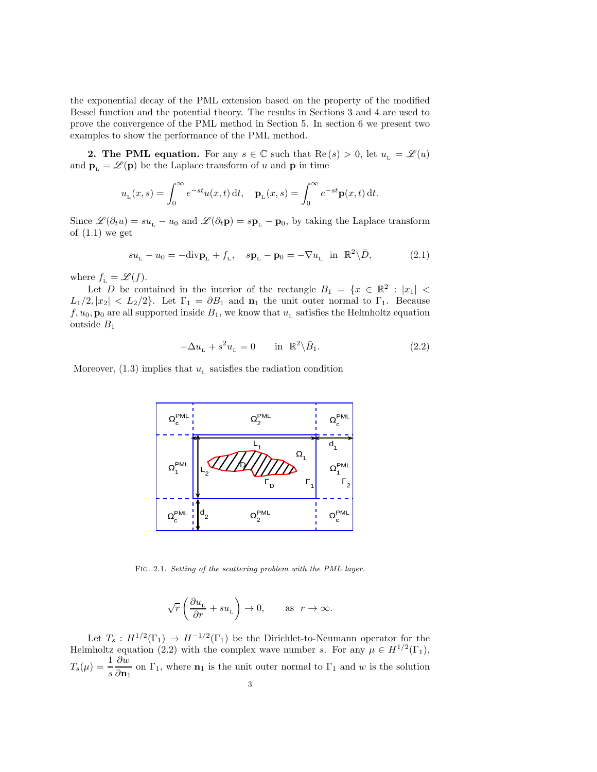the exponential decay of the PML extension based on the property of the modified Bessel function and the potential theory. The results in Sections 3 and 4 are used to prove the convergence of the PML method in Section 5. In section 6 we present two examples to show the performance of the PML method.

**2. The PML equation.** For any  $s \in \mathbb{C}$  such that  $\text{Re}(s) > 0$ , let  $u_{L} = \mathscr{L}(u)$ and  $\mathbf{p}_L = \mathscr{L}(\mathbf{p})$  be the Laplace transform of u and  $\mathbf{p}$  in time

$$
u_{L}(x,s) = \int_{0}^{\infty} e^{-st} u(x,t) dt, \quad \mathbf{p}_{L}(x,s) = \int_{0}^{\infty} e^{-st} \mathbf{p}(x,t) dt.
$$

Since  $\mathscr{L}(\partial_t u) = su_L - u_0$  and  $\mathscr{L}(\partial_t \mathbf{p}) = s \mathbf{p}_L - \mathbf{p}_0$ , by taking the Laplace transform of  $(1.1)$  we get

$$
su_{\mathcal{L}} - u_0 = -\text{div}\mathbf{p}_{\mathcal{L}} + f_{\mathcal{L}}, \quad s\mathbf{p}_{\mathcal{L}} - \mathbf{p}_0 = -\nabla u_{\mathcal{L}} \quad \text{in} \quad \mathbb{R}^2 \backslash \bar{D}, \tag{2.1}
$$

where  $f_{\text{\tiny L}} = \mathscr{L}(f).$ 

Let D be contained in the interior of the rectangle  $B_1 = \{x \in \mathbb{R}^2 : |x_1| <$  $L_1/2, |x_2| < L_2/2$ . Let  $\Gamma_1 = \partial B_1$  and  $\mathbf{n}_1$  the unit outer normal to  $\Gamma_1$ . Because  $f, u_0, \mathbf{p}_0$  are all supported inside  $B_1$ , we know that  $u<sub>L</sub>$  satisfies the Helmholtz equation outside B<sup>1</sup>

$$
-\Delta u_{\rm L} + s^2 u_{\rm L} = 0 \quad \text{in } \mathbb{R}^2 \backslash \bar{B}_1. \tag{2.2}
$$

Moreover,  $(1.3)$  implies that  $u<sub>L</sub>$  satisfies the radiation condition



Fig. 2.1. Setting of the scattering problem with the PML layer.

$$
\sqrt{r}\left(\frac{\partial u_\text{\tiny L}}{\partial r}+su_\text{\tiny L}\right)\rightarrow 0,\qquad\text{as}\ \ r\rightarrow\infty.
$$

Let  $T_s: H^{1/2}(\Gamma_1) \to H^{-1/2}(\Gamma_1)$  be the Dirichlet-to-Neumann operator for the Helmholtz equation (2.2) with the complex wave number s. For any  $\mu \in H^{1/2}(\Gamma_1)$ ,  $T_s(\mu) = \frac{1}{s}$ ∂w  $\frac{\partial}{\partial \mathbf{n}_1}$  on  $\Gamma_1$ , where  $\mathbf{n}_1$  is the unit outer normal to  $\Gamma_1$  and w is the solution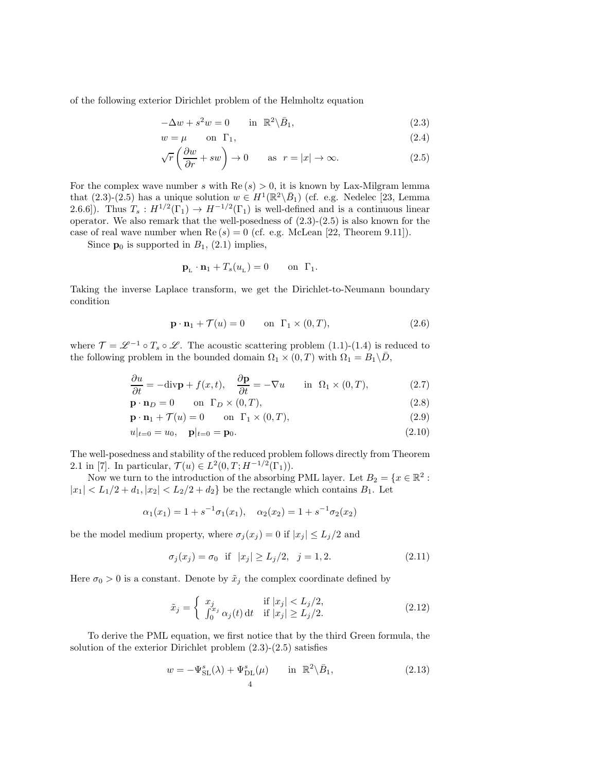of the following exterior Dirichlet problem of the Helmholtz equation

$$
-\Delta w + s^2 w = 0 \qquad \text{in } \mathbb{R}^2 \backslash \bar{B}_1,\tag{2.3}
$$

$$
w = \mu \qquad \text{on } \Gamma_1,\tag{2.4}
$$

$$
\sqrt{r}\left(\frac{\partial w}{\partial r} + sw\right) \to 0 \quad \text{as } r = |x| \to \infty. \tag{2.5}
$$

For the complex wave number s with  $\text{Re}(s) > 0$ , it is known by Lax-Milgram lemma that  $(2.3)-(2.5)$  has a unique solution  $w \in H^1(\mathbb{R}^2 \setminus \overline{B}_1)$  (cf. e.g. Nedelec [23, Lemma 2.6.6]). Thus  $T_s : H^{1/2}(\Gamma_1) \to H^{-1/2}(\Gamma_1)$  is well-defined and is a continuous linear operator. We also remark that the well-posedness of  $(2.3)-(2.5)$  is also known for the case of real wave number when  $\text{Re}(s) = 0$  (cf. e.g. McLean [22, Theorem 9.11]).

Since  $p_0$  is supported in  $B_1$ , (2.1) implies,

$$
\mathbf{p}_{\mathsf{L}} \cdot \mathbf{n}_1 + T_s(u_{\mathsf{L}}) = 0 \quad \text{on } \Gamma_1.
$$

Taking the inverse Laplace transform, we get the Dirichlet-to-Neumann boundary condition

$$
\mathbf{p} \cdot \mathbf{n}_1 + \mathcal{T}(u) = 0 \qquad \text{on } \Gamma_1 \times (0, T), \tag{2.6}
$$

where  $\mathcal{T} = \mathscr{L}^{-1} \circ T_s \circ \mathscr{L}$ . The acoustic scattering problem (1.1)-(1.4) is reduced to the following problem in the bounded domain  $\Omega_1 \times (0,T)$  with  $\Omega_1 = B_1 \backslash \overline{D}$ ,

$$
\frac{\partial u}{\partial t} = -\text{div}\mathbf{p} + f(x, t), \quad \frac{\partial \mathbf{p}}{\partial t} = -\nabla u \quad \text{in } \Omega_1 \times (0, T), \tag{2.7}
$$

$$
\mathbf{p} \cdot \mathbf{n}_D = 0 \qquad \text{on } \Gamma_D \times (0, T), \tag{2.8}
$$

$$
\mathbf{p} \cdot \mathbf{n}_1 + \mathcal{T}(u) = 0 \qquad \text{on } \Gamma_1 \times (0, T), \tag{2.9}
$$

$$
u|_{t=0} = u_0, \quad \mathbf{p}|_{t=0} = \mathbf{p}_0. \tag{2.10}
$$

The well-posedness and stability of the reduced problem follows directly from Theorem 2.1 in [7]. In particular,  $\mathcal{T}(u) \in L^2(0,T;H^{-1/2}(\Gamma_1)).$ 

Now we turn to the introduction of the absorbing PML layer. Let  $B_2 = \{x \in \mathbb{R}^2 :$  $|x_1|$  <  $L_1/2 + d_1, |x_2|$  <  $L_2/2 + d_2$ } be the rectangle which contains  $B_1$ . Let

$$
\alpha_1(x_1) = 1 + s^{-1}\sigma_1(x_1), \quad \alpha_2(x_2) = 1 + s^{-1}\sigma_2(x_2)
$$

be the model medium property, where  $\sigma_j(x_j) = 0$  if  $|x_j| \leq L_j/2$  and

$$
\sigma_j(x_j) = \sigma_0 \quad \text{if} \quad |x_j| \ge L_j/2, \quad j = 1, 2. \tag{2.11}
$$

Here  $\sigma_0 > 0$  is a constant. Denote by  $\tilde{x}_j$  the complex coordinate defined by

$$
\tilde{x}_j = \begin{cases}\n x_j & \text{if } |x_j| < L_j/2, \\
\int_0^{x_j} \alpha_j(t) \, \mathrm{d}t & \text{if } |x_j| \ge L_j/2.\n\end{cases}\n\tag{2.12}
$$

To derive the PML equation, we first notice that by the third Green formula, the solution of the exterior Dirichlet problem (2.3)-(2.5) satisfies

$$
w = -\Psi_{\mathrm{SL}}^{s}(\lambda) + \Psi_{\mathrm{DL}}^{s}(\mu) \quad \text{in } \mathbb{R}^{2} \backslash \bar{B}_{1}, \tag{2.13}
$$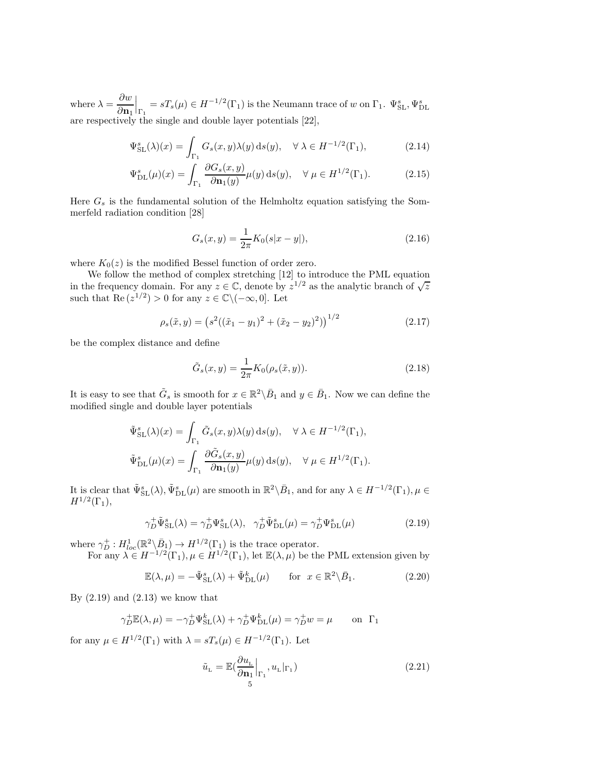where  $\lambda = \frac{\partial w}{\partial x}$  $\partial \mathbf{n}_1$  $\Big|_{\Gamma_1}=sT_s(\mu)\in H^{-1/2}(\Gamma_1)$  is the Neumann trace of w on  $\Gamma_1$ .  $\Psi^{s}_{\rm SL}, \Psi^{s}_{\rm DL}$ are respectively the single and double layer potentials [22],

$$
\Psi_{\rm SL}^s(\lambda)(x) = \int_{\Gamma_1} G_s(x, y) \lambda(y) \, \mathrm{d}s(y), \quad \forall \ \lambda \in H^{-1/2}(\Gamma_1), \tag{2.14}
$$

$$
\Psi_{\text{DL}}^{s}(\mu)(x) = \int_{\Gamma_1} \frac{\partial G_s(x, y)}{\partial \mathbf{n}_1(y)} \mu(y) \, \text{d}s(y), \quad \forall \ \mu \in H^{1/2}(\Gamma_1). \tag{2.15}
$$

Here  $G_s$  is the fundamental solution of the Helmholtz equation satisfying the Sommerfeld radiation condition [28]

$$
G_s(x,y) = \frac{1}{2\pi} K_0(s|x-y|),
$$
\n(2.16)

where  $K_0(z)$  is the modified Bessel function of order zero.

We follow the method of complex stretching [12] to introduce the PML equation in the frequency domain. For any  $z \in \mathbb{C}$ , denote by  $z^{1/2}$  as the analytic branch of  $\sqrt{z}$ such that  $\text{Re}(z^{1/2}) > 0$  for any  $z \in \mathbb{C} \setminus (-\infty, 0]$ . Let

$$
\rho_s(\tilde{x}, y) = \left(s^2((\tilde{x}_1 - y_1)^2 + (\tilde{x}_2 - y_2)^2)\right)^{1/2} \tag{2.17}
$$

be the complex distance and define

$$
\tilde{G}_s(x,y) = \frac{1}{2\pi} K_0(\rho_s(\tilde{x}, y)).
$$
\n(2.18)

It is easy to see that  $\tilde{G}_s$  is smooth for  $x \in \mathbb{R}^2 \backslash \bar{B}_1$  and  $y \in \bar{B}_1$ . Now we can define the modified single and double layer potentials

$$
\tilde{\Psi}_{\mathrm{SL}}^{s}(\lambda)(x) = \int_{\Gamma_{1}} \tilde{G}_{s}(x, y)\lambda(y) \,\mathrm{d}s(y), \quad \forall \lambda \in H^{-1/2}(\Gamma_{1}),
$$
  

$$
\tilde{\Psi}_{\mathrm{DL}}^{s}(\mu)(x) = \int_{\Gamma_{1}} \frac{\partial \tilde{G}_{s}(x, y)}{\partial \mathbf{n}_{1}(y)} \mu(y) \,\mathrm{d}s(y), \quad \forall \mu \in H^{1/2}(\Gamma_{1}).
$$

It is clear that  $\tilde{\Psi}_{\text{SL}}^{s}(\lambda), \tilde{\Psi}_{\text{DL}}^{s}(\mu)$  are smooth in  $\mathbb{R}^{2}\backslash \bar{B}_{1}$ , and for any  $\lambda \in H^{-1/2}(\Gamma_{1}), \mu \in$  $H^{1/2}(\Gamma_1),$ 

$$
\gamma_D^+ \tilde{\Psi}_{\mathrm{SL}}^s(\lambda) = \gamma_D^+ \Psi_{\mathrm{SL}}^s(\lambda), \quad \gamma_D^+ \tilde{\Psi}_{\mathrm{DL}}^s(\mu) = \gamma_D^+ \Psi_{\mathrm{DL}}^s(\mu)
$$
\n(2.19)

where  $\gamma_D^+ : H^1_{loc}(\mathbb{R}^2 \setminus \bar{B}_1) \to H^{1/2}(\Gamma_1)$  is the trace operator.

For any  $\lambda \in H^{-1/2}(\Gamma_1), \mu \in H^{1/2}(\Gamma_1)$ , let  $\mathbb{E}(\lambda, \mu)$  be the PML extension given by

$$
\mathbb{E}(\lambda,\mu) = -\tilde{\Psi}_{\mathrm{SL}}^s(\lambda) + \tilde{\Psi}_{\mathrm{DL}}^k(\mu) \qquad \text{for } x \in \mathbb{R}^2 \backslash \bar{B}_1. \tag{2.20}
$$

By  $(2.19)$  and  $(2.13)$  we know that

$$
\gamma_D^+ \mathbb{E}(\lambda, \mu) = -\gamma_D^+ \Psi_{\text{SL}}^k(\lambda) + \gamma_D^+ \Psi_{\text{DL}}^k(\mu) = \gamma_D^+ w = \mu \quad \text{on } \Gamma_1
$$

for any  $\mu \in H^{1/2}(\Gamma_1)$  with  $\lambda = sT_s(\mu) \in H^{-1/2}(\Gamma_1)$ . Let

$$
\tilde{u}_{\mathcal{L}} = \mathbb{E}\left(\frac{\partial u_{\mathcal{L}}}{\partial \mathbf{n}_{1}}\Big|_{\Gamma_{1}}, u_{\mathcal{L}}|_{\Gamma_{1}}\right) \tag{2.21}
$$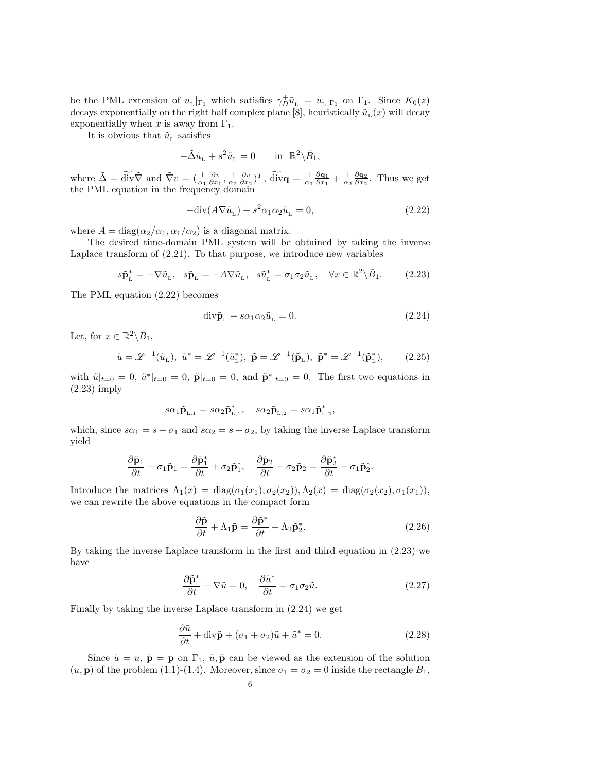be the PML extension of  $u_L|_{\Gamma_1}$  which satisfies  $\gamma_D^+ \tilde{u}_L = u_L|_{\Gamma_1}$  on  $\Gamma_1$ . Since  $K_0(z)$ decays exponentially on the right half complex plane [8], heuristically  $\tilde{u}_{\rm L}(x)$  will decay exponentially when x is away from  $\Gamma_1$ .

It is obvious that  $\tilde{u}_{\rm L}$  satisfies

$$
-\tilde{\Delta}\tilde{u}_{\rm L} + s^2 \tilde{u}_{\rm L} = 0 \quad \text{in } \mathbb{R}^2 \backslash \bar{B}_1,
$$

where  $\tilde{\Delta} = \widetilde{\text{div}} \tilde{\nabla}$  and  $\tilde{\nabla} v = (\frac{1}{\alpha_1} \frac{\partial v}{\partial x_1}, \frac{1}{\alpha_2} \frac{\partial v}{\partial x_2})^T$ ,  $\widetilde{\text{div}} \mathbf{q} = \frac{1}{\alpha_1} \frac{\partial \mathbf{q}_1}{\partial x_1} + \frac{1}{\alpha_2} \frac{\partial \mathbf{q}_2}{\partial x_2}$ . Thus we get the PML equation in the frequency domain

$$
-\text{div}(A\nabla \tilde{u}_L) + s^2 \alpha_1 \alpha_2 \tilde{u}_L = 0, \qquad (2.22)
$$

where  $A = \text{diag}(\alpha_2/\alpha_1, \alpha_1/\alpha_2)$  is a diagonal matrix.

The desired time-domain PML system will be obtained by taking the inverse Laplace transform of (2.21). To that purpose, we introduce new variables

$$
s\tilde{\mathbf{p}}_{\mathbf{L}}^* = -\nabla \tilde{u}_{\mathbf{L}}, \quad s\tilde{\mathbf{p}}_{\mathbf{L}} = -A\nabla \tilde{u}_{\mathbf{L}}, \quad s\tilde{u}_{\mathbf{L}}^* = \sigma_1 \sigma_2 \tilde{u}_{\mathbf{L}}, \quad \forall x \in \mathbb{R}^2 \setminus \bar{B}_1. \tag{2.23}
$$

The PML equation (2.22) becomes

$$
\operatorname{div}\tilde{\mathbf{p}}_{L} + s\alpha_{1}\alpha_{2}\tilde{u}_{L} = 0. \qquad (2.24)
$$

Let, for  $x \in \mathbb{R}^2 \backslash \bar{B}_1$ ,

$$
\tilde{u} = \mathcal{L}^{-1}(\tilde{u}_L), \quad \tilde{u}^* = \mathcal{L}^{-1}(\tilde{u}_L^*), \quad \tilde{\mathbf{p}} = \mathcal{L}^{-1}(\tilde{\mathbf{p}}_L), \quad \tilde{\mathbf{p}}^* = \mathcal{L}^{-1}(\tilde{\mathbf{p}}_L^*), \tag{2.25}
$$

with  $\tilde{u}|_{t=0} = 0$ ,  $\tilde{u}^*|_{t=0} = 0$ ,  $\tilde{p}|_{t=0} = 0$ , and  $\tilde{p}^*|_{t=0} = 0$ . The first two equations in (2.23) imply

$$
s\alpha_1\tilde{\mathbf{p}}_{{\scriptscriptstyle{\mathrm{L}},1}}=s\alpha_2\tilde{\mathbf{p}}^*_{{\scriptscriptstyle{\mathrm{L}},1}},\quad s\alpha_2\tilde{\mathbf{p}}_{{\scriptscriptstyle{\mathrm{L}},2}}=s\alpha_1\tilde{\mathbf{p}}^*_{{\scriptscriptstyle{\mathrm{L}},2}},
$$

which, since  $s\alpha_1 = s + \sigma_1$  and  $s\alpha_2 = s + \sigma_2$ , by taking the inverse Laplace transform yield

$$
\frac{\partial \tilde{\mathbf{p}}_1}{\partial t} + \sigma_1 \tilde{\mathbf{p}}_1 = \frac{\partial \tilde{\mathbf{p}}_1^*}{\partial t} + \sigma_2 \tilde{\mathbf{p}}_1^*, \quad \frac{\partial \tilde{\mathbf{p}}_2}{\partial t} + \sigma_2 \tilde{\mathbf{p}}_2 = \frac{\partial \tilde{\mathbf{p}}_2^*}{\partial t} + \sigma_1 \tilde{\mathbf{p}}_2^*.
$$

Introduce the matrices  $\Lambda_1(x) = \text{diag}(\sigma_1(x_1), \sigma_2(x_2)), \Lambda_2(x) = \text{diag}(\sigma_2(x_2), \sigma_1(x_1)),$ we can rewrite the above equations in the compact form

$$
\frac{\partial \tilde{\mathbf{p}}}{\partial t} + \Lambda_1 \tilde{\mathbf{p}} = \frac{\partial \tilde{\mathbf{p}}^*}{\partial t} + \Lambda_2 \tilde{\mathbf{p}}_2^*.
$$
 (2.26)

By taking the inverse Laplace transform in the first and third equation in (2.23) we have

$$
\frac{\partial \tilde{\mathbf{p}}^*}{\partial t} + \nabla \tilde{u} = 0, \quad \frac{\partial \tilde{u}^*}{\partial t} = \sigma_1 \sigma_2 \tilde{u}.
$$
 (2.27)

Finally by taking the inverse Laplace transform in (2.24) we get

$$
\frac{\partial \tilde{u}}{\partial t} + \text{div}\tilde{\mathbf{p}} + (\sigma_1 + \sigma_2)\tilde{u} + \tilde{u}^* = 0.
$$
 (2.28)

Since  $\tilde{u} = u$ ,  $\tilde{p} = p$  on  $\Gamma_1$ ,  $\tilde{u}$ ,  $\tilde{p}$  can be viewed as the extension of the solution  $(u, \mathbf{p})$  of the problem (1.1)-(1.4). Moreover, since  $\sigma_1 = \sigma_2 = 0$  inside the rectangle  $B_1$ ,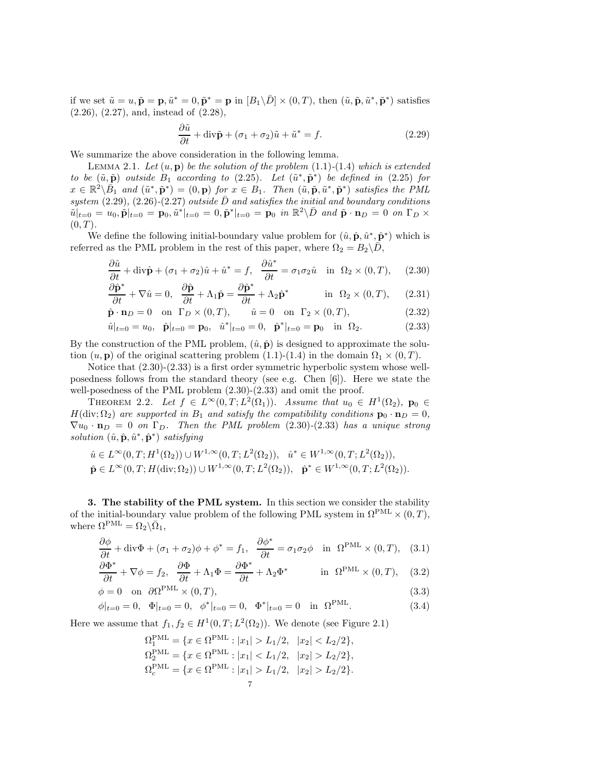if we set  $\tilde{u} = u$ ,  $\tilde{\mathbf{p}} = \mathbf{p}$ ,  $\tilde{u}^* = 0$ ,  $\tilde{\mathbf{p}}^* = \mathbf{p}$  in  $[B_1 \setminus \bar{D}] \times (0, T)$ , then  $(\tilde{u}, \tilde{\mathbf{p}}, \tilde{u}^*, \tilde{\mathbf{p}}^*)$  satisfies (2.26), (2.27), and, instead of (2.28),

$$
\frac{\partial \tilde{u}}{\partial t} + \text{div}\tilde{\mathbf{p}} + (\sigma_1 + \sigma_2)\tilde{u} + \tilde{u}^* = f.
$$
 (2.29)

We summarize the above consideration in the following lemma.

LEMMA 2.1. Let  $(u, \mathbf{p})$  be the solution of the problem  $(1.1)-(1.4)$  which is extended to be  $(\tilde{u}, \tilde{p})$  outside  $B_1$  according to (2.25). Let  $(\tilde{u}^*, \tilde{p}^*)$  be defined in (2.25) for  $x \in \mathbb{R}^2 \setminus \overline{B}_1$  and  $(\tilde{u}^*, \tilde{\mathbf{p}}^*) = (0, \mathbf{p})$  for  $x \in B_1$ . Then  $(\tilde{u}, \tilde{\mathbf{p}}, \tilde{u}^*, \tilde{\mathbf{p}}^*)$  satisfies the PML system  $(2.29)$ ,  $(2.26)-(2.27)$  outside  $\overline{D}$  and satisfies the initial and boundary conditions  $\tilde{u}|_{t=0} = u_0, \tilde{p}|_{t=0} = p_0, \tilde{u}^*|_{t=0} = 0, \tilde{p}^*|_{t=0} = p_0$  in  $\mathbb{R}^2 \setminus \bar{D}$  and  $\tilde{p} \cdot \mathbf{n}_D = 0$  on  $\Gamma_D \times$  $(0, T)$ .

We define the following initial-boundary value problem for  $(\hat{u}, \hat{\mathbf{p}}, \hat{u}^*, \hat{\mathbf{p}}^*)$  which is referred as the PML problem in the rest of this paper, where  $\Omega_2 = B_2 \backslash \bar{D}$ ,

$$
\frac{\partial \hat{u}}{\partial t} + \text{div}\hat{\mathbf{p}} + (\sigma_1 + \sigma_2)\hat{u} + \hat{u}^* = f, \quad \frac{\partial \hat{u}^*}{\partial t} = \sigma_1 \sigma_2 \hat{u} \quad \text{in} \quad \Omega_2 \times (0, T), \tag{2.30}
$$

$$
\frac{\partial \hat{\mathbf{p}}^*}{\partial t} + \nabla \hat{u} = 0, \quad \frac{\partial \hat{\mathbf{p}}}{\partial t} + \Lambda_1 \hat{\mathbf{p}} = \frac{\partial \hat{\mathbf{p}}^*}{\partial t} + \Lambda_2 \hat{\mathbf{p}}^* \qquad \text{in } \Omega_2 \times (0, T), \quad (2.31)
$$

$$
\hat{\mathbf{p}} \cdot \mathbf{n}_D = 0 \quad \text{on} \quad \Gamma_D \times (0, T), \qquad \hat{u} = 0 \quad \text{on} \quad \Gamma_2 \times (0, T), \tag{2.32}
$$

$$
\hat{u}|_{t=0} = u_0, \quad \hat{\mathbf{p}}|_{t=0} = \mathbf{p}_0, \quad \hat{u}^*|_{t=0} = 0, \quad \hat{\mathbf{p}}^*|_{t=0} = \mathbf{p}_0 \quad \text{in} \quad \Omega_2. \tag{2.33}
$$

By the construction of the PML problem,  $(\hat{u}, \hat{\mathbf{p}})$  is designed to approximate the solution  $(u, \mathbf{p})$  of the original scattering problem  $(1.1)-(1.4)$  in the domain  $\Omega_1 \times (0, T)$ .

Notice that (2.30)-(2.33) is a first order symmetric hyperbolic system whose wellposedness follows from the standard theory (see e.g. Chen [6]). Here we state the well-posedness of the PML problem  $(2.30)-(2.33)$  and omit the proof.

THEOREM 2.2. Let  $f \in L^{\infty}(0,T; L^{2}(\Omega_1))$ . Assume that  $u_0 \in H^{1}(\Omega_2)$ ,  $\mathbf{p}_0 \in$  $H(\text{div}; \Omega_2)$  are supported in  $B_1$  and satisfy the compatibility conditions  $\mathbf{p}_0 \cdot \mathbf{n}_D = 0$ ,  $\nabla u_0 \cdot \mathbf{n}_D = 0$  on  $\Gamma_D$ . Then the PML problem (2.30)-(2.33) has a unique strong solution  $(\hat{u}, \hat{\mathbf{p}}, \hat{u}^*, \hat{\mathbf{p}}^*)$  satisfying

$$
\hat{u} \in L^{\infty}(0,T; H^{1}(\Omega_{2})) \cup W^{1,\infty}(0,T; L^{2}(\Omega_{2})), \quad \hat{u}^{*} \in W^{1,\infty}(0,T; L^{2}(\Omega_{2})),
$$
  

$$
\hat{\mathbf{p}} \in L^{\infty}(0,T; H(\text{div}; \Omega_{2})) \cup W^{1,\infty}(0,T; L^{2}(\Omega_{2})), \quad \hat{\mathbf{p}}^{*} \in W^{1,\infty}(0,T; L^{2}(\Omega_{2})).
$$

3. The stability of the PML system. In this section we consider the stability of the initial-boundary value problem of the following PML system in  $\Omega^{\text{PML}} \times (0,T)$ , where  $\Omega^{\text{PML}} = \Omega_2 \backslash \overline{\Omega}_1$ ,

$$
\frac{\partial \phi}{\partial t} + \text{div}\Phi + (\sigma_1 + \sigma_2)\phi + \phi^* = f_1, \quad \frac{\partial \phi^*}{\partial t} = \sigma_1 \sigma_2 \phi \quad \text{in} \quad \Omega^{\text{PML}} \times (0, T), \quad (3.1)
$$

$$
\frac{\partial \Phi^*}{\partial t} + \nabla \phi = f_2, \quad \frac{\partial \Phi}{\partial t} + \Lambda_1 \Phi = \frac{\partial \Phi^*}{\partial t} + \Lambda_2 \Phi^* \qquad \text{in } \Omega^{\text{PML}} \times (0, T), \quad (3.2)
$$

$$
\phi = 0 \quad \text{on} \quad \partial \Omega^{\text{PML}} \times (0, T), \tag{3.3}
$$

$$
\phi|_{t=0} = 0, \quad \Phi|_{t=0} = 0, \quad \phi^*|_{t=0} = 0, \quad \Phi^*|_{t=0} = 0 \quad \text{in} \quad \Omega^{\text{PML}}.
$$
 (3.4)

Here we assume that  $f_1, f_2 \in H^1(0, T; L^2(\Omega_2))$ . We denote (see Figure 2.1)

$$
\Omega_1^{\text{PML}} = \{ x \in \Omega^{\text{PML}} : |x_1| > L_1/2, |x_2| < L_2/2 \},
$$
  
\n
$$
\Omega_2^{\text{PML}} = \{ x \in \Omega^{\text{PML}} : |x_1| < L_1/2, |x_2| > L_2/2 \},
$$
  
\n
$$
\Omega_c^{\text{PML}} = \{ x \in \Omega^{\text{PML}} : |x_1| > L_1/2, |x_2| > L_2/2 \}.
$$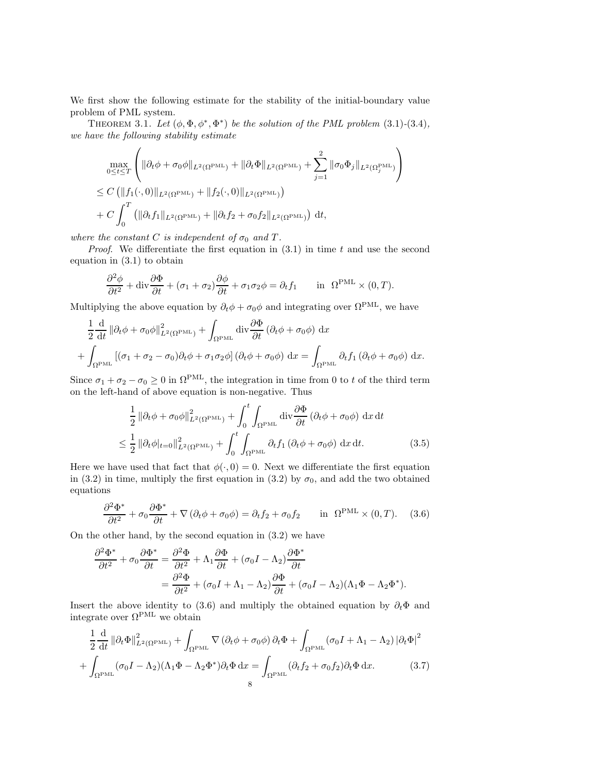We first show the following estimate for the stability of the initial-boundary value problem of PML system.

THEOREM 3.1. Let  $(\phi, \Phi, \phi^*, \Phi^*)$  be the solution of the PML problem (3.1)-(3.4), we have the following stability estimate

$$
\max_{0 \leq t \leq T} \left( \|\partial_t \phi + \sigma_0 \phi\|_{L^2(\Omega^{\text{PML}})} + \|\partial_t \Phi\|_{L^2(\Omega^{\text{PML}})} + \sum_{j=1}^2 \|\sigma_0 \Phi_j\|_{L^2(\Omega_j^{\text{PML}})} \right)
$$
\n
$$
\leq C \left( \|f_1(\cdot, 0)\|_{L^2(\Omega^{\text{PML}})} + \|f_2(\cdot, 0)\|_{L^2(\Omega^{\text{PML}})} \right)
$$
\n
$$
+ C \int_0^T \left( \|\partial_t f_1\|_{L^2(\Omega^{\text{PML}})} + \|\partial_t f_2 + \sigma_0 f_2\|_{L^2(\Omega^{\text{PML}})} \right) dt,
$$

where the constant C is independent of  $\sigma_0$  and T.

*Proof.* We differentiate the first equation in  $(3.1)$  in time t and use the second equation in (3.1) to obtain

$$
\frac{\partial^2 \phi}{\partial t^2} + \text{div} \frac{\partial \Phi}{\partial t} + (\sigma_1 + \sigma_2) \frac{\partial \phi}{\partial t} + \sigma_1 \sigma_2 \phi = \partial_t f_1 \quad \text{in } \Omega^{\text{PML}} \times (0, T).
$$

Multiplying the above equation by  $\partial_t \phi + \sigma_0 \phi$  and integrating over  $\Omega^{\text{PML}}$ , we have

$$
\frac{1}{2} \frac{d}{dt} \left\| \partial_t \phi + \sigma_0 \phi \right\|_{L^2(\Omega^{\text{PML}})}^2 + \int_{\Omega^{\text{PML}}} \text{div} \frac{\partial \Phi}{\partial t} \left( \partial_t \phi + \sigma_0 \phi \right) dx \n+ \int_{\Omega^{\text{PML}}} \left[ (\sigma_1 + \sigma_2 - \sigma_0) \partial_t \phi + \sigma_1 \sigma_2 \phi \right] \left( \partial_t \phi + \sigma_0 \phi \right) dx = \int_{\Omega^{\text{PML}}} \partial_t f_1 \left( \partial_t \phi + \sigma_0 \phi \right) dx.
$$

Since  $\sigma_1 + \sigma_2 - \sigma_0 \ge 0$  in  $\Omega^{\text{PML}}$ , the integration in time from 0 to t of the third term on the left-hand of above equation is non-negative. Thus

$$
\frac{1}{2} \|\partial_t \phi + \sigma_0 \phi\|_{L^2(\Omega^{\text{PML}})}^2 + \int_0^t \int_{\Omega^{\text{PML}}} \operatorname{div} \frac{\partial \Phi}{\partial t} (\partial_t \phi + \sigma_0 \phi) \, \mathrm{d}x \, \mathrm{d}t
$$
\n
$$
\leq \frac{1}{2} \|\partial_t \phi|_{t=0} \|\big|_{L^2(\Omega^{\text{PML}})}^2 + \int_0^t \int_{\Omega^{\text{PML}}} \partial_t f_1 (\partial_t \phi + \sigma_0 \phi) \, \mathrm{d}x \, \mathrm{d}t. \tag{3.5}
$$

Here we have used that fact that  $\phi(\cdot, 0) = 0$ . Next we differentiate the first equation in (3.2) in time, multiply the first equation in (3.2) by  $\sigma_0$ , and add the two obtained equations

$$
\frac{\partial^2 \Phi^*}{\partial t^2} + \sigma_0 \frac{\partial \Phi^*}{\partial t} + \nabla (\partial_t \phi + \sigma_0 \phi) = \partial_t f_2 + \sigma_0 f_2 \quad \text{in } \Omega^{\text{PML}} \times (0, T). \tag{3.6}
$$

On the other hand, by the second equation in (3.2) we have

$$
\frac{\partial^2 \Phi^*}{\partial t^2} + \sigma_0 \frac{\partial \Phi^*}{\partial t} = \frac{\partial^2 \Phi}{\partial t^2} + \Lambda_1 \frac{\partial \Phi}{\partial t} + (\sigma_0 I - \Lambda_2) \frac{\partial \Phi^*}{\partial t}
$$

$$
= \frac{\partial^2 \Phi}{\partial t^2} + (\sigma_0 I + \Lambda_1 - \Lambda_2) \frac{\partial \Phi}{\partial t} + (\sigma_0 I - \Lambda_2) (\Lambda_1 \Phi - \Lambda_2 \Phi^*).
$$

Insert the above identity to (3.6) and multiply the obtained equation by  $\partial_t \Phi$  and integrate over  $\Omega^{\text{PML}}$  we obtain

$$
\frac{1}{2} \frac{d}{dt} \left\| \partial_t \Phi \right\|_{L^2(\Omega^{\text{PML}})}^2 + \int_{\Omega^{\text{PML}}} \nabla \left( \partial_t \phi + \sigma_0 \phi \right) \partial_t \Phi + \int_{\Omega^{\text{PML}}} \left( \sigma_0 I + \Lambda_1 - \Lambda_2 \right) \left| \partial_t \Phi \right|^2
$$

$$
+ \int_{\Omega^{\text{PML}}} \left( \sigma_0 I - \Lambda_2 \right) \left( \Lambda_1 \Phi - \Lambda_2 \Phi^* \right) \partial_t \Phi \, \mathrm{d}x = \int_{\Omega^{\text{PML}}} \left( \partial_t f_2 + \sigma_0 f_2 \right) \partial_t \Phi \, \mathrm{d}x. \tag{3.7}
$$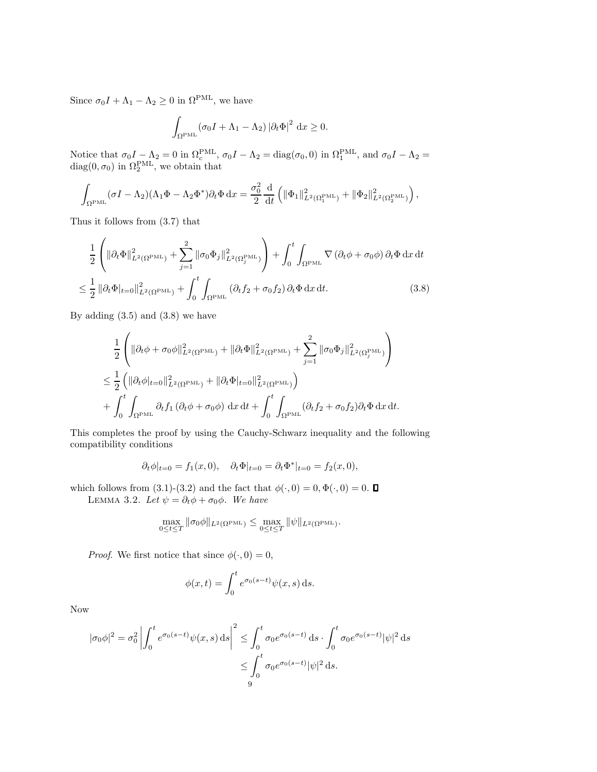Since  $\sigma_0 I + \Lambda_1 - \Lambda_2 \geq 0$  in  $\Omega^{\text{PML}}$ , we have

$$
\int_{\Omega^{\text{PML}}} (\sigma_0 I + \Lambda_1 - \Lambda_2) |\partial_t \Phi|^2 dx \ge 0.
$$

Notice that  $\sigma_0 I - \Lambda_2 = 0$  in  $\Omega_c^{\text{PML}}$ ,  $\sigma_0 I - \Lambda_2 = \text{diag}(\sigma_0, 0)$  in  $\Omega_1^{\text{PML}}$ , and  $\sigma_0 I - \Lambda_2 =$  $diag(0, \sigma_0)$  in  $\Omega_2^{\text{PML}}$ , we obtain that

$$
\int_{\Omega^{\text{PML}}} (\sigma I - \Lambda_2) (\Lambda_1 \Phi - \Lambda_2 \Phi^*) \partial_t \Phi \, \mathrm{d}x = \frac{\sigma_0^2}{2} \frac{\mathrm{d}}{\mathrm{d}t} \left( \| \Phi_1 \|_{L^2(\Omega_1^{\text{PML}})}^2 + \| \Phi_2 \|_{L^2(\Omega_2^{\text{PML}})}^2 \right),
$$

Thus it follows from (3.7) that

$$
\frac{1}{2} \left( \|\partial_t \Phi\|_{L^2(\Omega^{\text{PML}})}^2 + \sum_{j=1}^2 \|\sigma_0 \Phi_j\|_{L^2(\Omega_j^{\text{PML}})}^2 \right) + \int_0^t \int_{\Omega^{\text{PML}}} \nabla \left(\partial_t \phi + \sigma_0 \phi\right) \partial_t \Phi \, \mathrm{d}x \, \mathrm{d}t
$$
\n
$$
\leq \frac{1}{2} \left\| \partial_t \Phi \big|_{t=0} \right\|_{L^2(\Omega^{\text{PML}})}^2 + \int_0^t \int_{\Omega^{\text{PML}}} \left(\partial_t f_2 + \sigma_0 f_2\right) \partial_t \Phi \, \mathrm{d}x \, \mathrm{d}t. \tag{3.8}
$$

By adding  $(3.5)$  and  $(3.8)$  we have

$$
\frac{1}{2} \left( \|\partial_t \phi + \sigma_0 \phi\|_{L^2(\Omega^{\text{PML}})}^2 + \|\partial_t \Phi\|_{L^2(\Omega^{\text{PML}})}^2 + \sum_{j=1}^2 \|\sigma_0 \Phi_j\|_{L^2(\Omega_j^{\text{PML}})}^2 \right)
$$
  

$$
\leq \frac{1}{2} \left( \|\partial_t \phi|_{t=0}\|_{L^2(\Omega^{\text{PML}})}^2 + \|\partial_t \Phi|_{t=0}\|_{L^2(\Omega^{\text{PML}})}^2 \right)
$$
  

$$
+ \int_0^t \int_{\Omega^{\text{PML}}} \partial_t f_1 \left( \partial_t \phi + \sigma_0 \phi \right) dx dt + \int_0^t \int_{\Omega^{\text{PML}}} \left( \partial_t f_2 + \sigma_0 f_2 \right) \partial_t \Phi dx dt.
$$

This completes the proof by using the Cauchy-Schwarz inequality and the following compatibility conditions

$$
\partial_t \phi|_{t=0} = f_1(x,0), \quad \partial_t \Phi|_{t=0} = \partial_t \Phi^*|_{t=0} = f_2(x,0),
$$

which follows from (3.1)-(3.2) and the fact that  $\phi(\cdot, 0) = 0, \Phi(\cdot, 0) = 0$ . LEMMA 3.2. Let  $\psi = \partial_t \phi + \sigma_0 \phi$ . We have

$$
\max_{0 \leq t \leq T} \|\sigma_0 \phi\|_{L^2(\Omega^{\text{PML}})} \leq \max_{0 \leq t \leq T} \|\psi\|_{L^2(\Omega^{\text{PML}})}.
$$

*Proof.* We first notice that since  $\phi(\cdot, 0) = 0$ ,

$$
\phi(x,t) = \int_0^t e^{\sigma_0(s-t)} \psi(x,s) \,ds.
$$

Now

$$
|\sigma_0 \phi|^2 = \sigma_0^2 \left| \int_0^t e^{\sigma_0(s-t)} \psi(x, s) \, ds \right|^2 \le \int_0^t \sigma_0 e^{\sigma_0(s-t)} \, ds \cdot \int_0^t \sigma_0 e^{\sigma_0(s-t)} |\psi|^2 \, ds
$$

$$
\le \int_0^t \sigma_0 e^{\sigma_0(s-t)} |\psi|^2 \, ds.
$$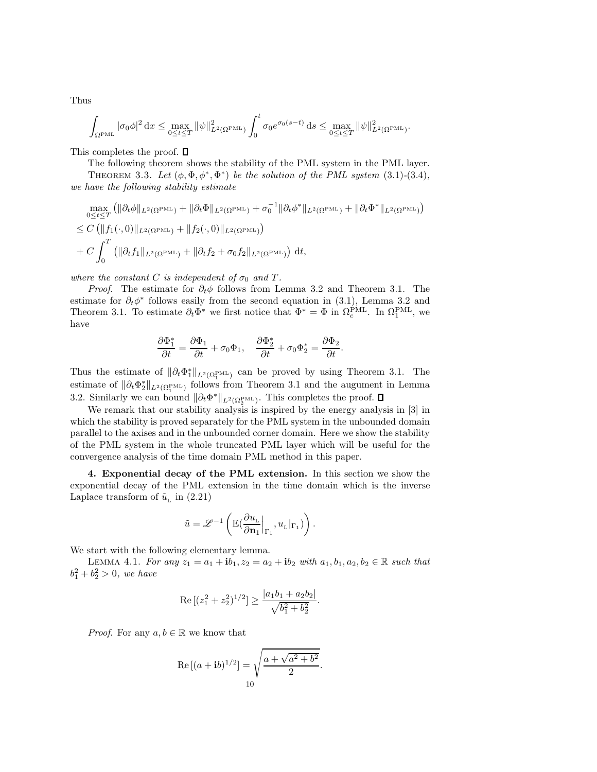Thus

$$
\int_{\Omega^{\text{PML}}} |\sigma_0 \phi|^2 dx \le \max_{0 \le t \le T} ||\psi||_{L^2(\Omega^{\text{PML}})}^2 \int_0^t \sigma_0 e^{\sigma_0(s-t)} ds \le \max_{0 \le t \le T} ||\psi||_{L^2(\Omega^{\text{PML}})}^2
$$

This completes the proof.  $\square$ 

The following theorem shows the stability of the PML system in the PML layer.

.

THEOREM 3.3. Let  $(\phi, \Phi, \phi^*, \Phi^*)$  be the solution of the PML system (3.1)-(3.4), we have the following stability estimate

$$
\max_{0 \leq t \leq T} (\|\partial_t \phi\|_{L^2(\Omega^{\text{PML}})} + \|\partial_t \Phi\|_{L^2(\Omega^{\text{PML}})} + \sigma_0^{-1} \|\partial_t \phi^*\|_{L^2(\Omega^{\text{PML}})} + \|\partial_t \Phi^*\|_{L^2(\Omega^{\text{PML}})} )
$$
\n
$$
\leq C (\|f_1(\cdot, 0)\|_{L^2(\Omega^{\text{PML}})} + \|f_2(\cdot, 0)\|_{L^2(\Omega^{\text{PML}})} )
$$
\n
$$
+ C \int_0^T (\|\partial_t f_1\|_{L^2(\Omega^{\text{PML}})} + \|\partial_t f_2 + \sigma_0 f_2\|_{L^2(\Omega^{\text{PML}})}) dt,
$$

where the constant C is independent of  $\sigma_0$  and T.

*Proof.* The estimate for  $\partial_t \phi$  follows from Lemma 3.2 and Theorem 3.1. The estimate for  $\partial_t \phi^*$  follows easily from the second equation in (3.1), Lemma 3.2 and Theorem 3.1. To estimate  $\partial_t \Phi^*$  we first notice that  $\Phi^* = \Phi$  in  $\Omega_c^{\text{PML}}$ . In  $\Omega_1^{\text{PML}}$ , we have

$$
\frac{\partial \Phi_1^*}{\partial t} = \frac{\partial \Phi_1}{\partial t} + \sigma_0 \Phi_1, \quad \frac{\partial \Phi_2^*}{\partial t} + \sigma_0 \Phi_2^* = \frac{\partial \Phi_2}{\partial t}.
$$

Thus the estimate of  $\|\partial_t \Phi_1^*\|_{L^2(\Omega_1^{\text{PML}})}$  can be proved by using Theorem 3.1. The estimate of  $\|\partial_t \Phi_2^*\|_{L^2(\Omega_1^{\text{PML}})}$  follows from Theorem 3.1 and the augument in Lemma 3.2. Similarly we can bound  $\|\partial_t \Phi^*\|_{L^2(\Omega^{\text{PML}}_2)}$ . This completes the proof.

We remark that our stability analysis is inspired by the energy analysis in [3] in which the stability is proved separately for the PML system in the unbounded domain parallel to the axises and in the unbounded corner domain. Here we show the stability of the PML system in the whole truncated PML layer which will be useful for the convergence analysis of the time domain PML method in this paper.

4. Exponential decay of the PML extension. In this section we show the exponential decay of the PML extension in the time domain which is the inverse Laplace transform of  $\tilde{u}_{\rm L}$  in (2.21)

$$
\tilde{u} = \mathscr{L}^{-1}\left( \mathbb{E}(\frac{\partial u_\mathrm{L}}{\partial \mathbf{n}_1} \Big|_{\Gamma_1}, u_\mathrm{L} |_{\Gamma_1}) \right).
$$

We start with the following elementary lemma.

LEMMA 4.1. For any  $z_1 = a_1 + ib_1$ ,  $z_2 = a_2 + ib_2$  with  $a_1, b_1, a_2, b_2 \in \mathbb{R}$  such that  $b_1^2 + b_2^2 > 0$ , we have

Re 
$$
[(z_1^2 + z_2^2)^{1/2}] \ge \frac{|a_1b_1 + a_2b_2|}{\sqrt{b_1^2 + b_2^2}}
$$
.

*Proof.* For any  $a, b \in \mathbb{R}$  we know that

Re 
$$
[(a + ib)^{1/2}]
$$
 =  $\sqrt{\frac{a + \sqrt{a^2 + b^2}}{2}}$ .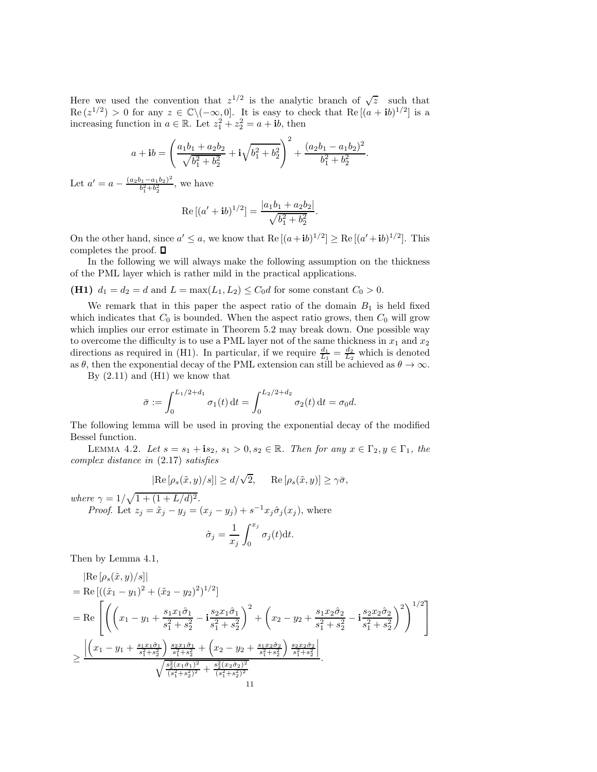Here we used the convention that  $z^{1/2}$  is the analytic branch of  $\sqrt{z}$  such that  $\text{Re}(z^{1/2}) > 0$  for any  $z \in \mathbb{C} \setminus (-\infty, 0]$ . It is easy to check that  $\text{Re}[(a + ib)^{1/2}]$  is a increasing function in  $a \in \mathbb{R}$ . Let  $z_1^2 + z_2^2 = a + ib$ , then

$$
a + \mathbf{i}b = \left(\frac{a_1b_1 + a_2b_2}{\sqrt{b_1^2 + b_2^2}} + \mathbf{i}\sqrt{b_1^2 + b_2^2}\right)^2 + \frac{(a_2b_1 - a_1b_2)^2}{b_1^2 + b_2^2}.
$$

Let  $a' = a - \frac{(a_2b_1 - a_1b_2)^2}{b_1^2 + b_2^2}$  $\frac{b_1 - a_1 b_2}{b_1^2 + b_2^2}$ , we have

Re 
$$
[(a'+ib)^{1/2}] = \frac{|a_1b_1 + a_2b_2|}{\sqrt{b_1^2 + b_2^2}}
$$
.

On the other hand, since  $a' \le a$ , we know that  $\text{Re}[(a+ib)^{1/2}] \ge \text{Re}[(a'+ib)^{1/2}]$ . This completes the proof.  $\square$ 

In the following we will always make the following assumption on the thickness of the PML layer which is rather mild in the practical applications.

(H1)  $d_1 = d_2 = d$  and  $L = \max(L_1, L_2) \le C_0 d$  for some constant  $C_0 > 0$ .

We remark that in this paper the aspect ratio of the domain  $B_1$  is held fixed which indicates that  $C_0$  is bounded. When the aspect ratio grows, then  $C_0$  will grow which implies our error estimate in Theorem 5.2 may break down. One possible way to overcome the difficulty is to use a PML layer not of the same thickness in  $x_1$  and  $x_2$ directions as required in (H1). In particular, if we require  $\frac{d_1}{L_1} = \frac{d_2}{L_2}$  which is denoted as  $\theta$ , then the exponential decay of the PML extension can still be achieved as  $\theta \to \infty$ .

By  $(2.11)$  and  $(H1)$  we know that

$$
\bar{\sigma} := \int_0^{L_1/2 + d_1} \sigma_1(t) dt = \int_0^{L_2/2 + d_2} \sigma_2(t) dt = \sigma_0 d.
$$

The following lemma will be used in proving the exponential decay of the modified Bessel function.

LEMMA 4.2. Let  $s = s_1 + is_2$ ,  $s_1 > 0$ ,  $s_2 \in \mathbb{R}$ . Then for any  $x \in \Gamma_2, y \in \Gamma_1$ , the complex distance in (2.17) satisfies

$$
|\text{Re}[\rho_s(\tilde{x}, y)/s]| \ge d/\sqrt{2}, \quad \text{Re}[\rho_s(\tilde{x}, y)] \ge \gamma \bar{\sigma},
$$

where  $\gamma = 1/\sqrt{1 + (1 + L/d)^2}$ .

*Proof.* Let  $z_j = \tilde{x}_j - y_j = (x_j - y_j) + s^{-1}x_j\hat{\sigma}_j(x_j)$ , where

$$
\hat{\sigma}_j = \frac{1}{x_j} \int_0^{x_j} \sigma_j(t) \mathrm{d}t.
$$

Then by Lemma 4.1,

$$
|\text{Re}\left[\rho_s(\tilde{x},y)/s\right]|
$$
\n
$$
= \text{Re}\left[\left((\tilde{x}_1 - y_1)^2 + (\tilde{x}_2 - y_2)^2\right)^{1/2}\right]
$$
\n
$$
= \text{Re}\left[\left(\left(x_1 - y_1 + \frac{s_1x_1\hat{\sigma}_1}{s_1^2 + s_2^2} - \mathbf{i}\frac{s_2x_1\hat{\sigma}_1}{s_1^2 + s_2^2}\right)^2 + \left(x_2 - y_2 + \frac{s_1x_2\hat{\sigma}_2}{s_1^2 + s_2^2} - \mathbf{i}\frac{s_2x_2\hat{\sigma}_2}{s_1^2 + s_2^2}\right)^2\right]^{1/2}\right]
$$
\n
$$
\geq \frac{\left|\left(x_1 - y_1 + \frac{s_1x_1\hat{\sigma}_1}{s_1^2 + s_2^2}\right)\frac{s_2x_1\hat{\sigma}_1}{s_1^2 + s_2^2} + \left(x_2 - y_2 + \frac{s_1x_2\hat{\sigma}_2}{s_1^2 + s_2^2}\right)\frac{s_2x_2\hat{\sigma}_2}{s_1^2 + s_2^2}\right|}{\sqrt{\frac{s_2^2(x_1\hat{\sigma}_1)^2}{(s_1^2 + s_2^2)^2} + \frac{s_2^2(x_2\hat{\sigma}_2)^2}{(s_1^2 + s_2^2)^2}}}
$$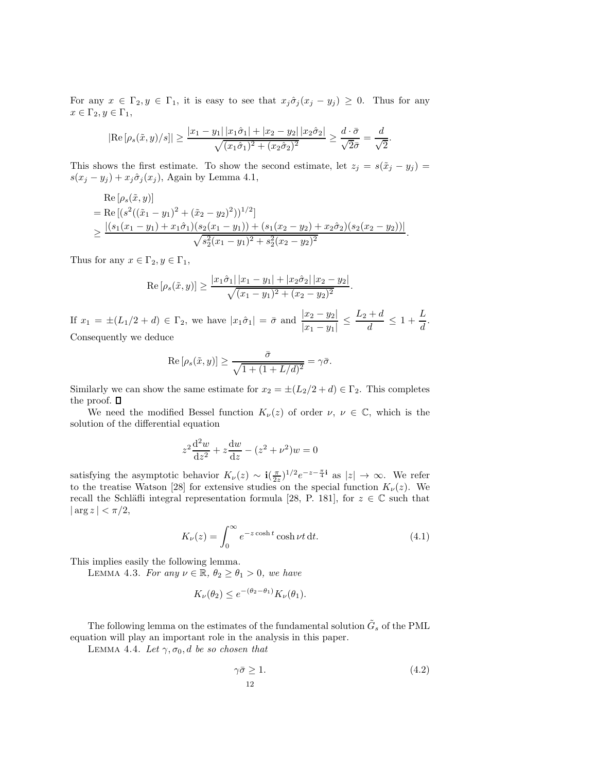For any  $x \in \Gamma_2, y \in \Gamma_1$ , it is easy to see that  $x_j \hat{\sigma}_j (x_j - y_j) \geq 0$ . Thus for any  $x \in \Gamma_2, y \in \Gamma_1$ ,

$$
|\text{Re}[\rho_s(\tilde{x}, y)/s]| \ge \frac{|x_1 - y_1| |x_1\hat{\sigma}_1| + |x_2 - y_2| |x_2\hat{\sigma}_2|}{\sqrt{(x_1\hat{\sigma}_1)^2 + (x_2\hat{\sigma}_2)^2}} \ge \frac{d \cdot \bar{\sigma}}{\sqrt{2}\bar{\sigma}} = \frac{d}{\sqrt{2}}.
$$

This shows the first estimate. To show the second estimate, let  $z_j = s(\tilde{x}_j - y_j)$  $s(x_j - y_j) + x_j \hat{\sigma}_j(x_j)$ , Again by Lemma 4.1,

Re 
$$
[\rho_s(\tilde{x}, y)]
$$
  
\n= Re  $[(s^2((\tilde{x}_1 - y_1)^2 + (\tilde{x}_2 - y_2)^2))^{1/2}]$   
\n $\ge \frac{|(s_1(x_1 - y_1) + x_1\hat{\sigma}_1)(s_2(x_1 - y_1)) + (s_1(x_2 - y_2) + x_2\hat{\sigma}_2)(s_2(x_2 - y_2))|}{\sqrt{s_2^2(x_1 - y_1)^2 + s_2^2(x_2 - y_2)^2}}$ .

Thus for any  $x \in \Gamma_2, y \in \Gamma_1$ ,

Re 
$$
[\rho_s(\tilde{x}, y)] \ge \frac{|x_1\hat{\sigma}_1||x_1 - y_1| + |x_2\hat{\sigma}_2||x_2 - y_2|}{\sqrt{(x_1 - y_1)^2 + (x_2 - y_2)^2}}
$$
.

If  $x_1 = \pm (L_1/2 + d) \in \Gamma_2$ , we have  $|x_1\hat{\sigma}_1| = \bar{\sigma}$  and  $\frac{|x_2 - y_2|}{|x_1 - y_1|} \leq$  $L_2 + d$  $\frac{+d}{d} \leq 1 + \frac{L}{d}$  $\frac{1}{d}$ . Consequently we deduce

$$
\operatorname{Re} [\rho_s(\tilde{x}, y)] \ge \frac{\bar{\sigma}}{\sqrt{1 + (1 + L/d)^2}} = \gamma \bar{\sigma}.
$$

Similarly we can show the same estimate for  $x_2 = \pm (L_2/2 + d) \in \Gamma_2$ . This completes the proof.  $\Box$ 

We need the modified Bessel function  $K_{\nu}(z)$  of order  $\nu, \nu \in \mathbb{C}$ , which is the solution of the differential equation

$$
z^{2} \frac{d^{2} w}{dz^{2}} + z \frac{dw}{dz} - (z^{2} + \nu^{2}) w = 0
$$

satisfying the asymptotic behavior  $K_{\nu}(z) \sim i(\frac{\pi}{2z})^{1/2}e^{-z-\frac{\pi}{4}i}$  as  $|z| \to \infty$ . We refer to the treatise Watson [28] for extensive studies on the special function  $K_{\nu}(z)$ . We recall the Schläfli integral representation formula [28, P. 181], for  $z \in \mathbb{C}$  such that  $|\arg z| < \pi/2$ ,

$$
K_{\nu}(z) = \int_0^{\infty} e^{-z \cosh t} \cosh \nu t \, \mathrm{d}t. \tag{4.1}
$$

This implies easily the following lemma.

LEMMA 4.3. For any  $\nu \in \mathbb{R}$ ,  $\theta_2 \ge \theta_1 > 0$ , we have

$$
K_{\nu}(\theta_2) \le e^{-(\theta_2 - \theta_1)} K_{\nu}(\theta_1).
$$

The following lemma on the estimates of the fundamental solution  $\tilde{G}_s$  of the PML equation will play an important role in the analysis in this paper.

LEMMA 4.4. Let  $\gamma$ ,  $\sigma_0$ , d be so chosen that

$$
\gamma \bar{\sigma} \ge 1. \tag{4.2}
$$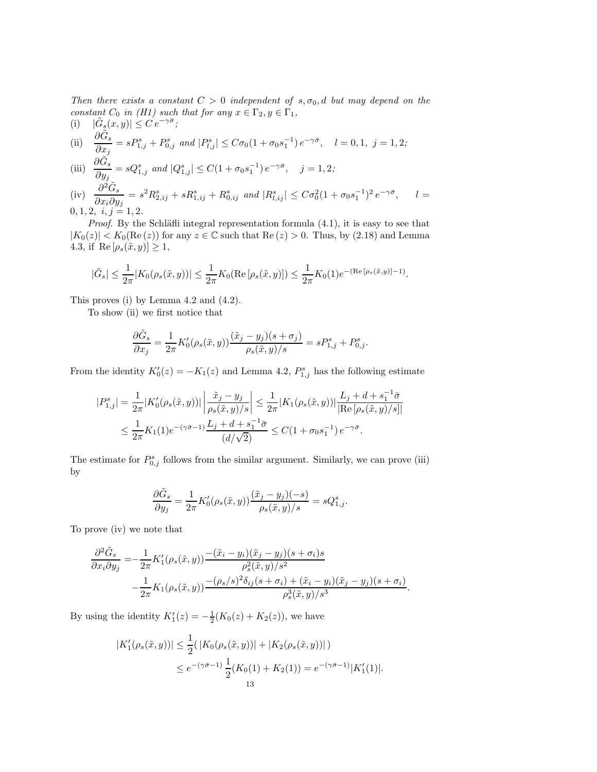Then there exists a constant  $C > 0$  independent of  $s, \sigma_0, d$  but may depend on the constant  $C_0$  in (H1) such that for any  $x \in \Gamma_2, y \in \Gamma_1$ ,

(i) 
$$
|\tilde{G}_s(x, y)| \leq C' e^{-\gamma \bar{\sigma}}
$$
;  
\n(ii)  $\frac{\partial \tilde{G}_s}{\partial x_j} = s P_{1,j}^s + P_{0,j}^s$  and  $|P_{l,j}^s| \leq C \sigma_0 (1 + \sigma_0 s_1^{-1}) e^{-\gamma \bar{\sigma}}$ ,  $l = 0, 1, j = 1, 2$ ;  
\n(iii)  $\frac{\partial \tilde{G}_s}{\partial s} = s Q_{1,j}^s$  and  $|Q_{1,j}^s| \leq C (1 + \sigma_0 s_1^{-1}) e^{-\gamma \bar{\sigma}}$ ,  $j = 1, 2$ ;

(iii) 
$$
\frac{\partial G_s}{\partial y_j} = sQ_{1,j}^s \text{ and } |Q_{1,j}^s| \le C(1 + \sigma_0 s_1^{-1}) e^{-\gamma \bar{\sigma}}, \quad j = 1, 2;
$$
  
(iv) 
$$
\frac{\partial^2 \tilde{G}_s}{\partial x_i \partial y_j} = s^2 R_{2,ij}^s + sR_{1,ij}^s + R_{0,ij}^s \text{ and } |R_{l,ij}^s| \le C\sigma_0^2 (1 + \sigma_0 s_1^{-1})^2 e^{-\gamma \bar{\sigma}},
$$

 $\partial x_i \partial y_j$  $0, 1, 2, i, j = 1, 2.$ 

*Proof.* By the Schläfli integral representation formula  $(4.1)$ , it is easy to see that  $|K_0(z)| < K_0(\text{Re}(z))$  for any  $z \in \mathbb{C}$  such that  $\text{Re}(z) > 0$ . Thus, by (2.18) and Lemma 4.3, if  $\text{Re}[\rho_s(\tilde{x}, y)] \geq 1$ ,

 $l =$ 

$$
|\tilde{G}_s| \leq \frac{1}{2\pi}|K_0(\rho_s(\tilde{x},y))| \leq \frac{1}{2\pi}K_0(\operatorname{Re}\left[\rho_s(\tilde{x},y)\right]) \leq \frac{1}{2\pi}K_0(1)e^{-(\operatorname{Re}\left[\rho_s(\tilde{x},y)\right]-1)}.
$$

This proves (i) by Lemma 4.2 and (4.2).

To show (ii) we first notice that

$$
\frac{\partial \tilde{G}_s}{\partial x_j} = \frac{1}{2\pi} K'_0(\rho_s(\tilde{x}, y)) \frac{(\tilde{x}_j - y_j)(s + \sigma_j)}{\rho_s(\tilde{x}, y)/s} = s P^s_{1,j} + P^s_{0,j}.
$$

From the identity  $K'_0(z) = -K_1(z)$  and Lemma 4.2,  $P_{1,j}^s$  has the following estimate

$$
\begin{split} |P^s_{1,j}|&=\frac{1}{2\pi}|K_0'(\rho_s(\tilde{x},y))|\left|\frac{\tilde{x}_j-y_j}{\rho_s(\tilde{x},y)/s}\right|\leq \frac{1}{2\pi}|K_1(\rho_s(\tilde{x},y))|\frac{L_j+d+s_1^{-1}\bar{\sigma}}{|\mathrm{Re}\left[\rho_s(\tilde{x},y)/s\right]|}\\ &\leq \frac{1}{2\pi}K_1(1)e^{-(\gamma\bar{\sigma}-1)}\frac{L_j+d+s_1^{-1}\bar{\sigma}}{(d/\sqrt{2})}\leq C(1+\sigma_0s_1^{-1})\,e^{-\gamma\bar{\sigma}}. \end{split}
$$

The estimate for  $P_{0,j}^s$  follows from the similar argument. Similarly, we can prove (iii) by

$$
\frac{\partial \tilde{G}_s}{\partial y_j} = \frac{1}{2\pi} K_0'(\rho_s(\tilde{x}, y)) \frac{(\tilde{x}_j - y_j)(-s)}{\rho_s(\tilde{x}, y)/s} = sQ_{1,j}^s.
$$

To prove (iv) we note that

$$
\frac{\partial^2 \tilde{G}_s}{\partial x_i \partial y_j} = -\frac{1}{2\pi} K'_1(\rho_s(\tilde{x}, y)) \frac{-(\tilde{x}_i - y_i)(\tilde{x}_j - y_j)(s + \sigma_i)s}{\rho_s^2(\tilde{x}, y)/s^2} \n- \frac{1}{2\pi} K_1(\rho_s(\tilde{x}, y)) \frac{-(\rho_s/s)^2 \delta_{ij}(s + \sigma_i) + (\tilde{x}_i - y_i)(\tilde{x}_j - y_j)(s + \sigma_i)}{\rho_s^3(\tilde{x}, y)/s^3}.
$$

By using the identity  $K'_1(z) = -\frac{1}{2}(K_0(z) + K_2(z))$ , we have

$$
|K'_{1}(\rho_{s}(\tilde{x}, y))| \leq \frac{1}{2}(|K_{0}(\rho_{s}(\tilde{x}, y))| + |K_{2}(\rho_{s}(\tilde{x}, y))|)
$$
  
 
$$
\leq e^{-(\gamma \bar{\sigma}-1)} \frac{1}{2}(K_{0}(1) + K_{2}(1)) = e^{-(\gamma \bar{\sigma}-1)}|K'_{1}(1)|.
$$
  
13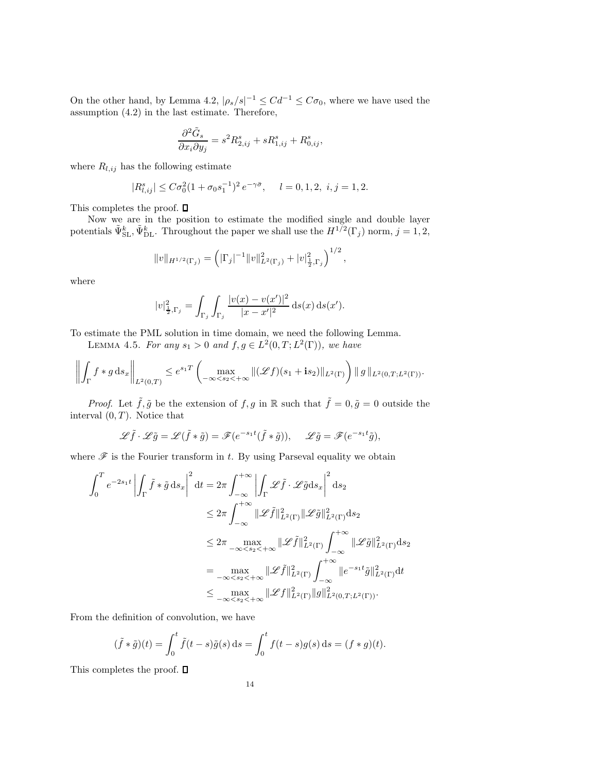On the other hand, by Lemma 4.2,  $|\rho_s/s|^{-1} \leq Cd^{-1} \leq C\sigma_0$ , where we have used the assumption (4.2) in the last estimate. Therefore,

$$
\frac{\partial^2 \tilde{G}_s}{\partial x_i \partial y_j} = s^2 R_{2,ij}^s + s R_{1,ij}^s + R_{0,ij}^s,
$$

where  $R_{l,ij}$  has the following estimate

$$
|R_{l,ij}^s| \le C\sigma_0^2 (1 + \sigma_0 s_1^{-1})^2 e^{-\gamma \bar{\sigma}}, \quad l = 0, 1, 2, i, j = 1, 2.
$$

This completes the proof.  $\Box$ 

Now we are in the position to estimate the modified single and double layer potentials  $\tilde{\Psi}_{\text{SL}}^k$ ,  $\tilde{\Psi}_{\text{DL}}^k$ . Throughout the paper we shall use the  $H^{1/2}(\Gamma_j)$  norm,  $j = 1, 2$ ,

$$
||v||_{H^{1/2}(\Gamma_j)} = \left( |\Gamma_j|^{-1} ||v||_{L^2(\Gamma_j)}^2 + |v|_{\frac{1}{2},\Gamma_j}^2 \right)^{1/2},
$$

where

$$
|v|_{\frac{1}{2},\Gamma_j}^2 = \int_{\Gamma_j} \int_{\Gamma_j} \frac{|v(x) - v(x')|^2}{|x - x'|^2} \, \mathrm{d} s(x) \, \mathrm{d} s(x').
$$

To estimate the PML solution in time domain, we need the following Lemma.

LEMMA 4.5. For any  $s_1 > 0$  and  $f, g \in L^2(0, T; L^2(\Gamma))$ , we have

$$
\left\| \int_{\Gamma} f * g \, ds_x \right\|_{L^2(0,T)} \leq e^{s_1 T} \left( \max_{-\infty < s_2 < +\infty} \| (\mathscr{L}f)(s_1 + \mathbf{i} s_2) \|_{L^2(\Gamma)} \right) \| g \|_{L^2(0,T;L^2(\Gamma))}.
$$

*Proof.* Let  $\tilde{f}, \tilde{g}$  be the extension of  $f, g$  in R such that  $\tilde{f} = 0, \tilde{g} = 0$  outside the interval  $(0, T)$ . Notice that

$$
\mathscr{L}\tilde{f} \cdot \mathscr{L}\tilde{g} = \mathscr{L}(\tilde{f} * \tilde{g}) = \mathscr{F}(e^{-s_1 t}(\tilde{f} * \tilde{g})), \quad \mathscr{L}\tilde{g} = \mathscr{F}(e^{-s_1 t}\tilde{g}),
$$

where  $\mathscr F$  is the Fourier transform in t. By using Parseval equality we obtain

$$
\int_0^T e^{-2s_1 t} \left| \int_{\Gamma} \tilde{f} * \tilde{g} ds_x \right|^2 dt = 2\pi \int_{-\infty}^{+\infty} \left| \int_{\Gamma} \mathscr{L}\tilde{f} \cdot \mathscr{L}\tilde{g} ds_x \right|^2 ds_2
$$
  
\n
$$
\leq 2\pi \int_{-\infty}^{+\infty} \|\mathscr{L}\tilde{f}\|_{L^2(\Gamma)}^2 \|\mathscr{L}\tilde{g}\|_{L^2(\Gamma)}^2 ds_2
$$
  
\n
$$
\leq 2\pi \max_{-\infty < s_2 < +\infty} \|\mathscr{L}\tilde{f}\|_{L^2(\Gamma)}^2 \int_{-\infty}^{+\infty} \|\mathscr{L}\tilde{g}\|_{L^2(\Gamma)}^2 ds_2
$$
  
\n
$$
= \max_{-\infty < s_2 < +\infty} \|\mathscr{L}\tilde{f}\|_{L^2(\Gamma)}^2 \int_{-\infty}^{+\infty} \|e^{-s_1 t}\tilde{g}\|_{L^2(\Gamma)}^2 dt
$$
  
\n
$$
\leq \max_{-\infty < s_2 < +\infty} \|\mathscr{L}f\|_{L^2(\Gamma)}^2 \|g\|_{L^2(0,T;L^2(\Gamma))}^2.
$$

From the definition of convolution, we have

$$
(\tilde{f} * \tilde{g})(t) = \int_0^t \tilde{f}(t - s)\tilde{g}(s) ds = \int_0^t f(t - s)g(s) ds = (f * g)(t).
$$

This completes the proof.  $\square$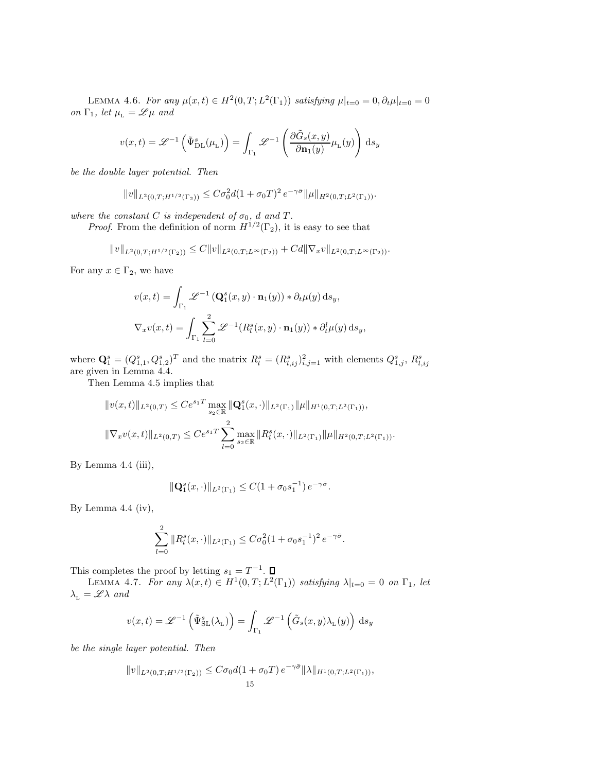LEMMA 4.6. For any  $\mu(x,t) \in H^2(0,T; L^2(\Gamma_1))$  satisfying  $\mu|_{t=0} = 0, \partial_t \mu|_{t=0} = 0$ on  $\Gamma_1$ , let  $\mu_{\text{L}} = \mathscr{L} \mu$  and

$$
v(x,t) = \mathscr{L}^{-1}\left(\tilde{\Psi}_{\mathrm{DL}}^s(\mu_{\mathrm{L}})\right) = \int_{\Gamma_1}\mathscr{L}^{-1}\left(\frac{\partial \tilde{G}_s(x,y)}{\partial \mathbf{n}_1(y)}\mu_{\mathrm{L}}(y)\right)\,\mathrm{d}s_y
$$

be the double layer potential. Then

$$
||v||_{L^{2}(0,T;H^{1/2}(\Gamma_2))} \leq C\sigma_0^2 d(1+\sigma_0 T)^2 e^{-\gamma \bar{\sigma}} ||\mu||_{H^2(0,T;L^2(\Gamma_1))}.
$$

where the constant C is independent of  $\sigma_0$ , d and T.

*Proof.* From the definition of norm  $H^{1/2}(\Gamma_2)$ , it is easy to see that

$$
||v||_{L^{2}(0,T;H^{1/2}(\Gamma_2))} \leq C||v||_{L^{2}(0,T;L^{\infty}(\Gamma_2))} + Cd||\nabla_x v||_{L^{2}(0,T;L^{\infty}(\Gamma_2))}.
$$

For any  $x \in \Gamma_2$ , we have

$$
v(x,t) = \int_{\Gamma_1} \mathcal{L}^{-1} \left( \mathbf{Q}_1^s(x,y) \cdot \mathbf{n}_1(y) \right) * \partial_t \mu(y) \, ds_y,
$$
  

$$
\nabla_x v(x,t) = \int_{\Gamma_1} \sum_{l=0}^2 \mathcal{L}^{-1} (R_l^s(x,y) \cdot \mathbf{n}_1(y)) * \partial_t^l \mu(y) \, ds_y,
$$

where  $\mathbf{Q}_1^s = (Q_{1,1}^s, Q_{1,2}^s)^T$  and the matrix  $R_l^s = (R_{l,ij}^s)_{i,j=1}^2$  with elements  $Q_{1,j}^s$ ,  $R_{l,ij}^s$  are given in Lemma 4.4.

Then Lemma 4.5 implies that

$$
||v(x,t)||_{L^{2}(0,T)} \leq Ce^{s_{1}T} \max_{s_{2} \in \mathbb{R}} ||\mathbf{Q}_{1}^{s}(x,\cdot)||_{L^{2}(\Gamma_{1})} ||\mu||_{H^{1}(0,T;L^{2}(\Gamma_{1}))},
$$
  

$$
||\nabla_{x}v(x,t)||_{L^{2}(0,T)} \leq Ce^{s_{1}T} \sum_{l=0}^{2} \max_{s_{2} \in \mathbb{R}} ||R_{l}^{s}(x,\cdot)||_{L^{2}(\Gamma_{1})} ||\mu||_{H^{2}(0,T;L^{2}(\Gamma_{1}))}.
$$

By Lemma 4.4 (iii),

$$
\|\mathbf{Q}_1^s(x,\cdot)\|_{L^2(\Gamma_1)} \leq C(1+\sigma_0s_1^{-1})\,e^{-\gamma\bar{\sigma}}.
$$

By Lemma 4.4 (iv),

$$
\sum_{l=0}^{2} ||R_{l}^{s}(x,\cdot)||_{L^{2}(\Gamma_{1})} \leq C\sigma_{0}^{2}(1+\sigma_{0}s_{1}^{-1})^{2} e^{-\gamma\bar{\sigma}}.
$$

This completes the proof by letting  $s_1 = T^{-1}$ .

LEMMA 4.7. For any  $\lambda(x,t) \in H^1(0,T; L^2(\Gamma_1))$  satisfying  $\lambda|_{t=0} = 0$  on  $\Gamma_1$ , let  $\lambda_{\text{\tiny L}} = \mathscr{L} \lambda$  and

$$
v(x,t) = \mathscr{L}^{-1}\left(\tilde{\Psi}_{\mathrm{SL}}^s(\lambda_L)\right) = \int_{\Gamma_1} \mathscr{L}^{-1}\left(\tilde{G}_s(x,y)\lambda_L(y)\right) \mathrm{d}s_y
$$

be the single layer potential. Then

$$
||v||_{L^{2}(0,T;H^{1/2}(\Gamma_2))} \leq C\sigma_0 d(1+\sigma_0 T) e^{-\gamma \bar{\sigma}} ||\lambda||_{H^1(0,T;L^2(\Gamma_1))},
$$
  
15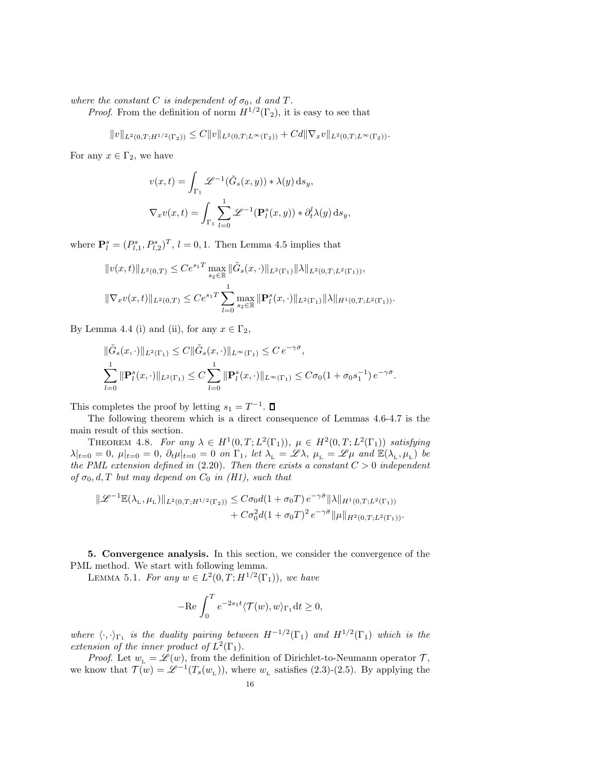where the constant C is independent of  $\sigma_0$ , d and T.

*Proof.* From the definition of norm  $H^{1/2}(\Gamma_2)$ , it is easy to see that

$$
||v||_{L^{2}(0,T;H^{1/2}(\Gamma_2))} \leq C||v||_{L^{2}(0,T;L^{\infty}(\Gamma_2))} + Cd||\nabla_x v||_{L^{2}(0,T;L^{\infty}(\Gamma_2))}.
$$

For any  $x \in \Gamma_2$ , we have

$$
v(x,t) = \int_{\Gamma_1} \mathcal{L}^{-1}(\tilde{G}_s(x,y)) * \lambda(y) ds_y,
$$
  

$$
\nabla_x v(x,t) = \int_{\Gamma_1} \sum_{l=0}^1 \mathcal{L}^{-1}(\mathbf{P}_l^s(x,y)) * \partial_t^l \lambda(y) ds_y,
$$

where  $\mathbf{P}_{l}^{s} = (P_{l,1}^{s}, P_{l,2}^{s})^{T}$ ,  $l = 0, 1$ . Then Lemma 4.5 implies that

$$
||v(x,t)||_{L^{2}(0,T)} \leq Ce^{s_{1}T} \max_{s_{2} \in \mathbb{R}} ||\tilde{G}_{s}(x,\cdot)||_{L^{2}(\Gamma_{1})} ||\lambda||_{L^{2}(0,T;L^{2}(\Gamma_{1}))},
$$
  

$$
||\nabla_{x}v(x,t)||_{L^{2}(0,T)} \leq Ce^{s_{1}T} \sum_{l=0}^{1} \max_{s_{2} \in \mathbb{R}} ||\mathbf{P}_{l}^{s}(x,\cdot)||_{L^{2}(\Gamma_{1})} ||\lambda||_{H^{1}(0,T;L^{2}(\Gamma_{1}))}.
$$

By Lemma 4.4 (i) and (ii), for any  $x \in \Gamma_2$ ,

$$
\|\tilde{G}_s(x,\cdot)\|_{L^2(\Gamma_1)} \leq C \|\tilde{G}_s(x,\cdot)\|_{L^\infty(\Gamma_1)} \leq C e^{-\gamma \bar{\sigma}},
$$
  

$$
\sum_{l=0}^1 \|\mathbf{P}_l^s(x,\cdot)\|_{L^2(\Gamma_1)} \leq C \sum_{l=0}^1 \|\mathbf{P}_l^s(x,\cdot)\|_{L^\infty(\Gamma_1)} \leq C\sigma_0 (1 + \sigma_0 s_1^{-1}) e^{-\gamma \bar{\sigma}}.
$$

This completes the proof by letting  $s_1 = T^{-1}$ .

The following theorem which is a direct consequence of Lemmas 4.6-4.7 is the main result of this section.

THEOREM 4.8. For any  $\lambda \in H^1(0,T; L^2(\Gamma_1)), \mu \in H^2(0,T; L^2(\Gamma_1))$  satisfying  $\lambda|_{t=0} = 0, \ \mu|_{t=0} = 0, \ \partial_t \mu|_{t=0} = 0 \ \ on \ \Gamma_1, \ let \ \lambda_{L} = \mathscr{L} \lambda, \ \mu_{L} = \mathscr{L} \mu \ \ and \ \mathbb{E}(\lambda_{L}, \mu_{L}) \ be$ the PML extension defined in  $(2.20)$ . Then there exists a constant  $C > 0$  independent of  $\sigma_0, d, T$  but may depend on  $C_0$  in (H1), such that

$$
\begin{aligned} \|\mathscr{L}^{-1}\mathbb{E}(\lambda_{\rm L},\mu_{\rm L})\|_{L^2(0,T;H^{1/2}(\Gamma_2))} &\leq C\sigma_0 d(1+\sigma_0 T)\,e^{-\gamma\bar{\sigma}}\|\lambda\|_{H^1(0,T;L^2(\Gamma_1))}\\ &+C\sigma_0^2 d(1+\sigma_0 T)^2\,e^{-\gamma\bar{\sigma}}\|\mu\|_{H^2(0,T;L^2(\Gamma_1))}. \end{aligned}
$$

5. Convergence analysis. In this section, we consider the convergence of the PML method. We start with following lemma.

LEMMA 5.1. For any  $w \in L^2(0,T;H^{1/2}(\Gamma_1))$ , we have

$$
-\mathrm{Re}\,\int_0^T e^{-2s_1t}\langle \mathcal{T}(w),w\rangle_{\Gamma_1}\mathrm{d} t\geq 0,
$$

where  $\langle \cdot, \cdot \rangle_{\Gamma_1}$  is the duality pairing between  $H^{-1/2}(\Gamma_1)$  and  $H^{1/2}(\Gamma_1)$  which is the extension of the inner product of  $L^2(\Gamma_1)$ .

*Proof.* Let  $w_L = \mathscr{L}(w)$ , from the definition of Dirichlet-to-Neumann operator  $\mathcal{T}$ , we know that  $\mathcal{T}(w) = \mathcal{L}^{-1}(T_s(w_L))$ , where  $w_L$  satisfies (2.3)-(2.5). By applying the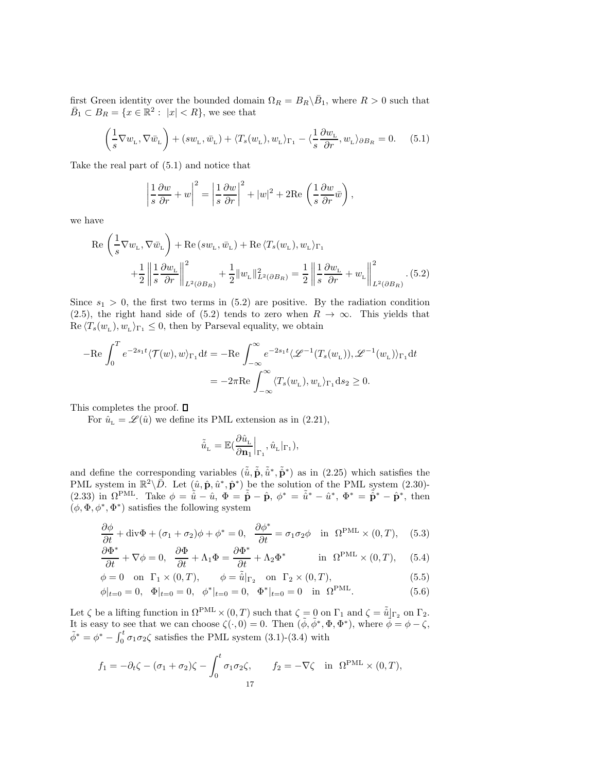first Green identity over the bounded domain  $\Omega_R = B_R \backslash \bar{B}_1$ , where  $R > 0$  such that  $\overline{B}_1 \subset B_R = \{x \in \mathbb{R}^2 : |x| < R\}$ , we see that

$$
\left(\frac{1}{s}\nabla w_{\mathcal{L}}, \nabla \bar{w}_{\mathcal{L}}\right) + (sw_{\mathcal{L}}, \bar{w}_{\mathcal{L}}) + \langle T_s(w_{\mathcal{L}}), w_{\mathcal{L}} \rangle_{\Gamma_1} - \langle \frac{1}{s} \frac{\partial w_{\mathcal{L}}}{\partial r}, w_{\mathcal{L}} \rangle_{\partial B_R} = 0. \tag{5.1}
$$

Take the real part of (5.1) and notice that

$$
\left|\frac{1}{s}\frac{\partial w}{\partial r} + w\right|^2 = \left|\frac{1}{s}\frac{\partial w}{\partial r}\right|^2 + |w|^2 + 2\text{Re}\left(\frac{1}{s}\frac{\partial w}{\partial r}\bar{w}\right),\right.
$$

we have

$$
\operatorname{Re}\left(\frac{1}{s}\nabla w_{\mathrm{L}},\nabla \bar{w}_{\mathrm{L}}\right) + \operatorname{Re}\left(sw_{\mathrm{L}},\bar{w}_{\mathrm{L}}\right) + \operatorname{Re}\left\langle T_{s}(w_{\mathrm{L}}),w_{\mathrm{L}}\right\rangle_{\Gamma_{1}} + \frac{1}{2}\left\|\frac{1}{s}\frac{\partial w_{\mathrm{L}}}{\partial r}\right\|_{L^{2}(\partial B_{R})}^{2} + \frac{1}{2}\left\|w_{\mathrm{L}}\right\|_{L^{2}(\partial B_{R})}^{2} = \frac{1}{2}\left\|\frac{1}{s}\frac{\partial w_{\mathrm{L}}}{\partial r} + w_{\mathrm{L}}\right\|_{L^{2}(\partial B_{R})}^{2}.\tag{5.2}
$$

Since  $s_1 > 0$ , the first two terms in (5.2) are positive. By the radiation condition (2.5), the right hand side of (5.2) tends to zero when  $R \to \infty$ . This yields that  $\text{Re}\langle T_s(w_L), w_L \rangle_{\Gamma_1} \leq 0$ , then by Parseval equality, we obtain

$$
-\text{Re}\int_0^T e^{-2s_1t}\langle \mathcal{T}(w), w \rangle_{\Gamma_1} dt = -\text{Re}\int_{-\infty}^{\infty} e^{-2s_1t}\langle \mathcal{L}^{-1}(T_s(w_{\text{L}})), \mathcal{L}^{-1}(w_{\text{L}}) \rangle_{\Gamma_1} dt
$$

$$
= -2\pi \text{Re}\int_{-\infty}^{\infty} \langle T_s(w_{\text{L}}), w_{\text{L}} \rangle_{\Gamma_1} ds_2 \ge 0.
$$

This completes the proof.  $\square$ 

For  $\hat{u}_{\rm L} = \mathscr{L}(\hat{u})$  we define its PML extension as in (2.21),

$$
\tilde{\hat{u}}_{\text{\tiny L}} = \mathbb{E}(\frac{\partial \hat{u}_{\text{\tiny L}}}{\partial \textbf{n}_1} \Big|_{\Gamma_1}, \hat{u}_{\text{\tiny L}}|_{\Gamma_1}),
$$

and define the corresponding variables  $(\tilde{\hat{u}}, \tilde{\hat{p}}, \tilde{\hat{u}}^*, \tilde{\hat{p}}^*)$  as in (2.25) which satisfies the PML system in  $\mathbb{R}^2 \setminus \overline{D}$ . Let  $(\hat{u}, \hat{\mathbf{p}}, \hat{u}^*, \hat{\mathbf{p}}^*)$  be the solution of the PML system (2.30)-(2.33) in  $\Omega^{\text{PML}}$ . Take  $\phi = \tilde{\hat{u}} - \hat{u}$ ,  $\Phi = \tilde{\hat{\mathbf{p}}} - \hat{\mathbf{p}}$ ,  $\phi^* = \tilde{\hat{u}}^* - \hat{u}^*$ ,  $\Phi^* = \tilde{\hat{\mathbf{p}}}^* - \hat{\mathbf{p}}^*$ , then  $(\phi, \Phi, \phi^*, \Phi^*)$  satisfies the following system

$$
\frac{\partial \phi}{\partial t} + \text{div}\Phi + (\sigma_1 + \sigma_2)\phi + \phi^* = 0, \quad \frac{\partial \phi^*}{\partial t} = \sigma_1 \sigma_2 \phi \quad \text{in} \quad \Omega^{\text{PML}} \times (0, T), \quad (5.3)
$$

$$
\frac{\partial \Phi^*}{\partial t} + \nabla \phi = 0, \quad \frac{\partial \Phi}{\partial t} + \Lambda_1 \Phi = \frac{\partial \Phi^*}{\partial t} + \Lambda_2 \Phi^* \qquad \text{in } \Omega^{\text{PML}} \times (0, T), \quad (5.4)
$$

$$
\phi = 0 \quad \text{on} \quad \Gamma_1 \times (0, T), \qquad \phi = \tilde{\hat{u}}|_{\Gamma_2} \quad \text{on} \quad \Gamma_2 \times (0, T), \tag{5.5}
$$

$$
\phi|_{t=0} = 0, \quad \Phi|_{t=0} = 0, \quad \phi^*|_{t=0} = 0, \quad \Phi^*|_{t=0} = 0 \quad \text{in} \quad \Omega^{\text{PML}}.
$$

Let  $\zeta$  be a lifting function in  $\Omega^{\text{PML}} \times (0,T)$  such that  $\zeta = 0$  on  $\Gamma_1$  and  $\zeta = \tilde{u}|_{\Gamma_2}$  on  $\Gamma_2$ . It is easy to see that we can choose  $\zeta(\cdot,0)=0$ . Then  $(\tilde{\phi}, \tilde{\phi}^*, \Phi, \Phi^*)$ , where  $\tilde{\phi}=\phi-\zeta$ ,  $\tilde{\phi}^* = \phi^* - \int_0^t \sigma_1 \sigma_2 \zeta$  satisfies the PML system (3.1)-(3.4) with

$$
f_1 = -\partial_t \zeta - (\sigma_1 + \sigma_2)\zeta - \int_0^t \sigma_1 \sigma_2 \zeta, \qquad f_2 = -\nabla \zeta \quad \text{in} \ \ \Omega^{\text{PML}} \times (0, T),
$$
  
17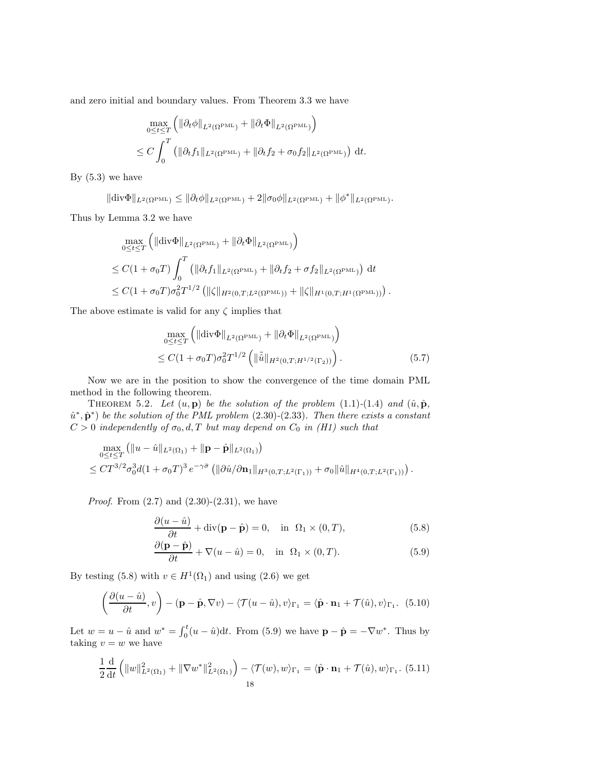and zero initial and boundary values. From Theorem 3.3 we have

$$
\max_{0 \le t \le T} \left( \|\partial_t \phi\|_{L^2(\Omega^{\text{PML}})} + \|\partial_t \Phi\|_{L^2(\Omega^{\text{PML}})} \right)
$$
  

$$
\le C \int_0^T \left( \|\partial_t f_1\|_{L^2(\Omega^{\text{PML}})} + \|\partial_t f_2 + \sigma_0 f_2\|_{L^2(\Omega^{\text{PML}})} \right) dt.
$$

By  $(5.3)$  we have

$$
\|\text{div}\Phi\|_{L^2(\Omega^{\text{PML}})} \le \|\partial_t \phi\|_{L^2(\Omega^{\text{PML}})} + 2\|\sigma_0 \phi\|_{L^2(\Omega^{\text{PML}})} + \|\phi^*\|_{L^2(\Omega^{\text{PML}})}.
$$

Thus by Lemma 3.2 we have

$$
\max_{0 \le t \le T} \left( \|\text{div}\Phi\|_{L^2(\Omega^{\text{PML}})} + \|\partial_t \Phi\|_{L^2(\Omega^{\text{PML}})} \right)
$$
\n
$$
\le C(1 + \sigma_0 T) \int_0^T \left( \|\partial_t f_1\|_{L^2(\Omega^{\text{PML}})} + \|\partial_t f_2 + \sigma f_2\|_{L^2(\Omega^{\text{PML}})} \right) dt
$$
\n
$$
\le C(1 + \sigma_0 T) \sigma_0^2 T^{1/2} \left( \|\zeta\|_{H^2(0, T; L^2(\Omega^{\text{PML}}))} + \|\zeta\|_{H^1(0, T; H^1(\Omega^{\text{PML}}))} \right).
$$

The above estimate is valid for any  $\zeta$  implies that

$$
\max_{0 \leq t \leq T} \left( \left\| \text{div} \Phi \right\|_{L^2(\Omega^{\text{PML}})} + \left\| \partial_t \Phi \right\|_{L^2(\Omega^{\text{PML}})} \right) \leq C(1 + \sigma_0 T) \sigma_0^2 T^{1/2} \left( \left\| \tilde{\hat{u}} \right\|_{H^2(0,T;H^{1/2}(\Gamma_2))} \right).
$$
\n(5.7)

Now we are in the position to show the convergence of the time domain PML method in the following theorem.

THEOREM 5.2. Let  $(u, \mathbf{p})$  be the solution of the problem (1.1)-(1.4) and  $(\hat{u}, \hat{\mathbf{p}})$ ,  $\hat{u}^*, \hat{\mathbf{p}}^*$  be the solution of the PML problem (2.30)-(2.33). Then there exists a constant  $C > 0$  independently of  $\sigma_0, d, T$  but may depend on  $C_0$  in (H1) such that

$$
\max_{0 \leq t \leq T} (\|u - \hat{u}\|_{L^2(\Omega_1)} + \|\mathbf{p} - \hat{\mathbf{p}}\|_{L^2(\Omega_1)})
$$
\n
$$
\leq CT^{3/2} \sigma_0^3 d(1 + \sigma_0 T)^3 e^{-\gamma \bar{\sigma}} (\|\partial \hat{u}/\partial \mathbf{n}_1\|_{H^3(0,T;L^2(\Gamma_1))} + \sigma_0 \|\hat{u}\|_{H^4(0,T;L^2(\Gamma_1))}).
$$

*Proof.* From  $(2.7)$  and  $(2.30)-(2.31)$ , we have

$$
\frac{\partial(u-\hat{u})}{\partial t} + \text{div}(\mathbf{p} - \hat{\mathbf{p}}) = 0, \quad \text{in} \ \Omega_1 \times (0, T), \tag{5.8}
$$

$$
\frac{\partial (\mathbf{p} - \hat{\mathbf{p}})}{\partial t} + \nabla (u - \hat{u}) = 0, \text{ in } \Omega_1 \times (0, T). \tag{5.9}
$$

By testing (5.8) with  $v \in H^1(\Omega_1)$  and using (2.6) we get

$$
\left(\frac{\partial(u-\hat{u})}{\partial t},v\right)-(\mathbf{p}-\hat{\mathbf{p}},\nabla v)-\langle\mathcal{T}(u-\hat{u}),v\rangle_{\Gamma_1}=\langle\hat{\mathbf{p}}\cdot\mathbf{n}_1+\mathcal{T}(\hat{u}),v\rangle_{\Gamma_1}.\tag{5.10}
$$

Let  $w = u - \hat{u}$  and  $w^* = \int_0^t (u - \hat{u}) dt$ . From (5.9) we have  $\mathbf{p} - \hat{\mathbf{p}} = -\nabla w^*$ . Thus by taking  $v = w$  we have

$$
\frac{1}{2}\frac{\mathrm{d}}{\mathrm{d}t}\left(\|w\|_{L^2(\Omega_1)}^2+\|\nabla w^*\|_{L^2(\Omega_1)}^2\right)-\langle \mathcal{T}(w),w\rangle_{\Gamma_1}=\langle \hat{\mathbf{p}}\cdot\mathbf{n}_1+\mathcal{T}(\hat{u}),w\rangle_{\Gamma_1}.\ (5.11)
$$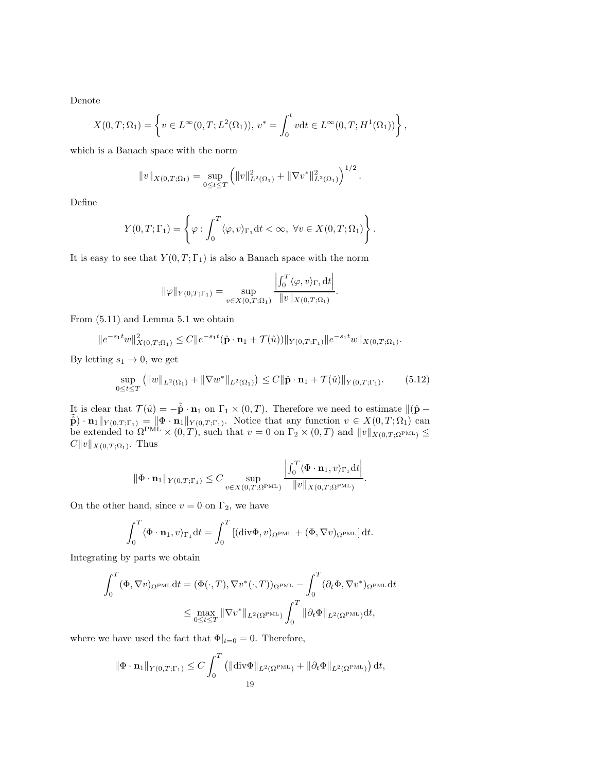Denote

$$
X(0,T;\Omega_1) = \left\{ v \in L^{\infty}(0,T;L^2(\Omega_1)), v^* = \int_0^t v dt \in L^{\infty}(0,T;H^1(\Omega_1)) \right\},\,
$$

which is a Banach space with the norm

$$
||v||_{X(0,T;\Omega_1)} = \sup_{0 \le t \le T} (||v||^2_{L^2(\Omega_1)} + ||\nabla v^*||^2_{L^2(\Omega_1)})^{1/2}.
$$

Define

$$
Y(0,T;\Gamma_1) = \left\{ \varphi : \int_0^T \langle \varphi, v \rangle_{\Gamma_1} dt < \infty, \ \forall v \in X(0,T;\Omega_1) \right\}.
$$

It is easy to see that  $Y(0, T; \Gamma_1)$  is also a Banach space with the norm

$$
\|\varphi\|_{Y(0,T;\Gamma_1)} = \sup_{v \in X(0,T;\Omega_1)} \frac{\left|\int_0^T \langle \varphi, v \rangle_{\Gamma_1} \mathrm{d}t\right|}{\|v\|_{X(0,T;\Omega_1)}}.
$$

From (5.11) and Lemma 5.1 we obtain

$$
||e^{-s_1t}w||_{X(0,T;\Omega_1)}^2 \leq C||e^{-s_1t}(\hat{\mathbf{p}}\cdot\mathbf{n}_1+\mathcal{T}(\hat{u}))||_{Y(0,T;\Gamma_1)}||e^{-s_1t}w||_{X(0,T;\Omega_1)}.
$$

By letting  $s_1 \rightarrow 0$ , we get

$$
\sup_{0 \le t \le T} (||w||_{L^2(\Omega_1)} + ||\nabla w^*||_{L^2(\Omega_1)}) \le C ||\hat{\mathbf{p}} \cdot \mathbf{n}_1 + \mathcal{T}(\hat{u})||_{Y(0,T;\Gamma_1)}.
$$
 (5.12)

.

It is clear that  $\mathcal{T}(\hat{u}) = -\tilde{\mathbf{p}} \cdot \mathbf{n}_1$  on  $\Gamma_1 \times (0,T)$ . Therefore we need to estimate  $\|(\hat{\mathbf{p}} - \tilde{\mathbf{n}})\|$  $\tilde{\hat{\mathbf{p}}}\cdot \mathbf{n}_1\|_{Y(0,T;\Gamma_1)} = \|\Phi \cdot \mathbf{n}_1\|_{Y(0,T;\Gamma_1)}$ . Notice that any function  $v \in X(0,T;\Omega_1)$  can be extended to  $\Omega^{\text{PML}} \times (0,T)$ , such that  $v = 0$  on  $\Gamma_2 \times (0,T)$  and  $||v||_{X(0,T;\Omega^{\text{PML}})} \le$  $C||v||_{X(0,T;\Omega_1)}$ . Thus

$$
\|\Phi \cdot \mathbf{n}_1\|_{Y(0,T;\Gamma_1)} \leq C \sup_{v \in X(0,T;\Omega^{\text{PML}})} \frac{\left|\int_0^T \langle \Phi \cdot \mathbf{n}_1, v \rangle_{\Gamma_1} \mathrm{d}t\right|}{\|v\|_{X(0,T;\Omega^{\text{PML}})}}
$$

On the other hand, since  $v = 0$  on  $\Gamma_2$ , we have

$$
\int_0^T \langle \Phi \cdot \mathbf{n}_1, v \rangle_{\Gamma_1} dt = \int_0^T \left[ (\text{div}\Phi, v)_{\Omega^{\text{PML}}} + (\Phi, \nabla v)_{\Omega^{\text{PML}}} \right] dt.
$$

Integrating by parts we obtain

$$
\int_0^T (\Phi, \nabla v)_{\Omega^{\text{PML}}} dt = (\Phi(\cdot, T), \nabla v^*(\cdot, T))_{\Omega^{\text{PML}}} - \int_0^T (\partial_t \Phi, \nabla v^*)_{\Omega^{\text{PML}}} dt
$$
  

$$
\leq \max_{0 \leq t \leq T} \|\nabla v^*\|_{L^2(\Omega^{\text{PML}})} \int_0^T \|\partial_t \Phi\|_{L^2(\Omega^{\text{PML}})} dt,
$$

where we have used the fact that  $\Phi|_{t=0} = 0$ . Therefore,

$$
\|\Phi \cdot \mathbf{n}_1\|_{Y(0,T;\Gamma_1)} \leq C \int_0^T \left( \|\text{div}\Phi\|_{L^2(\Omega^{\text{PML}})} + \|\partial_t \Phi\|_{L^2(\Omega^{\text{PML}})} \right) dt,
$$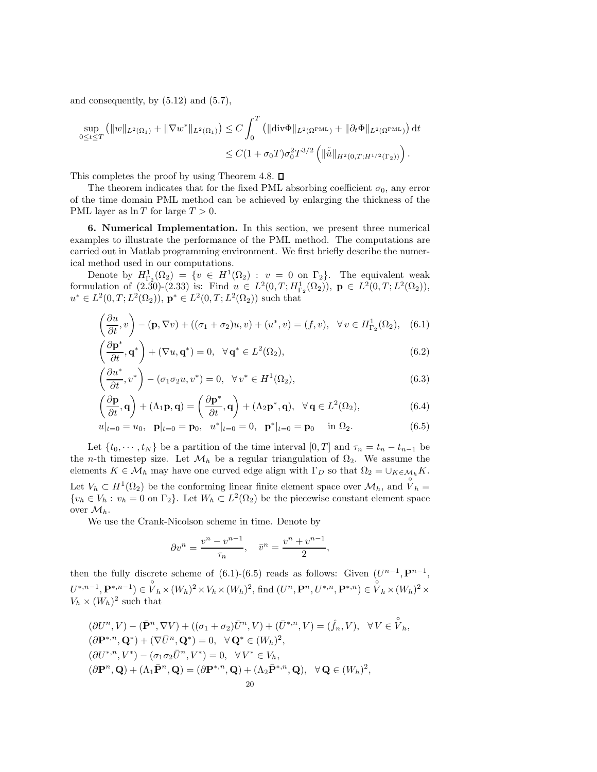and consequently, by  $(5.12)$  and  $(5.7)$ ,

$$
\sup_{0 \le t \le T} (||w||_{L^2(\Omega_1)} + ||\nabla w^*||_{L^2(\Omega_1)}) \le C \int_0^T (||\text{div}\Phi||_{L^2(\Omega^{\text{PML}})} + ||\partial_t \Phi||_{L^2(\Omega^{\text{PML}})}) dt
$$
  

$$
\le C(1 + \sigma_0 T)\sigma_0^2 T^{3/2} (||\tilde{u}||_{H^2(0,T;H^{1/2}(\Gamma_2))}).
$$

This completes the proof by using Theorem 4.8.  $\square$ 

The theorem indicates that for the fixed PML absorbing coefficient  $\sigma_0$ , any error of the time domain PML method can be achieved by enlarging the thickness of the PML layer as  $\ln T$  for large  $T > 0$ .

6. Numerical Implementation. In this section, we present three numerical examples to illustrate the performance of the PML method. The computations are carried out in Matlab programming environment. We first briefly describe the numerical method used in our computations.

Denote by  $H^1_{\Gamma_2}(\Omega_2) = \{v \in H^1(\Omega_2) : v = 0 \text{ on } \Gamma_2\}.$  The equivalent weak formulation of (2.30)-(2.33) is: Find  $u \in L^2(0,T; H^1_{\Gamma_2}(\Omega_2))$ ,  $\mathbf{p} \in L^2(0,T; L^2(\Omega_2))$ ,  $u^* \in L^2(0,T; L^2(\Omega_2))$ ,  $\mathbf{p}^* \in L^2(0,T; L^2(\Omega_2))$  such that

$$
\left(\frac{\partial u}{\partial t}, v\right) - (\mathbf{p}, \nabla v) + ((\sigma_1 + \sigma_2)u, v) + (u^*, v) = (f, v), \quad \forall v \in H^1_{\Gamma_2}(\Omega_2), \quad (6.1)
$$

$$
\left(\frac{\partial \mathbf{p}^*}{\partial t}, \mathbf{q}^*\right) + (\nabla u, \mathbf{q}^*) = 0, \ \ \forall \mathbf{q}^* \in L^2(\Omega_2),\tag{6.2}
$$

$$
\left(\frac{\partial u^*}{\partial t}, v^*\right) - \left(\sigma_1 \sigma_2 u, v^*\right) = 0, \quad \forall v^* \in H^1(\Omega_2),\tag{6.3}
$$

$$
\left(\frac{\partial \mathbf{p}}{\partial t}, \mathbf{q}\right) + \left(\Lambda_1 \mathbf{p}, \mathbf{q}\right) = \left(\frac{\partial \mathbf{p}^*}{\partial t}, \mathbf{q}\right) + \left(\Lambda_2 \mathbf{p}^*, \mathbf{q}\right), \ \ \forall \mathbf{q} \in L^2(\Omega_2),\tag{6.4}
$$

$$
u|_{t=0} = u_0, \quad \mathbf{p}|_{t=0} = \mathbf{p}_0, \quad u^*|_{t=0} = 0, \quad \mathbf{p}^*|_{t=0} = \mathbf{p}_0 \quad \text{in } \Omega_2. \tag{6.5}
$$

Let  $\{t_0, \dots, t_N\}$  be a partition of the time interval  $[0, T]$  and  $\tau_n = t_n - t_{n-1}$  be the *n*-th timestep size. Let  $\mathcal{M}_h$  be a regular triangulation of  $\Omega_2$ . We assume the elements  $K \in \mathcal{M}_h$  may have one curved edge align with  $\Gamma_D$  so that  $\Omega_2 = \bigcup_{K \in \mathcal{M}_h} K$ . Let  $V_h \subset H^1(\Omega_2)$  be the conforming linear finite element space over  $\mathcal{M}_h$ , and  $\overrightarrow{V}_h =$  $\{v_h \in V_h : v_h = 0 \text{ on } \Gamma_2\}$ . Let  $W_h \subset L^2(\Omega_2)$  be the piecewise constant element space over  $\mathcal{M}_h$ .

We use the Crank-Nicolson scheme in time. Denote by

$$
\partial v^n = \frac{v^n - v^{n-1}}{\tau_n}, \quad \bar{v}^n = \frac{v^n + v^{n-1}}{2},
$$

then the fully discrete scheme of  $(6.1)-(6.5)$  reads as follows: Given  $(U^{n-1}, \mathbf{P}^{n-1},$  $U^{*,n-1}, \mathbf{P}^{*,n-1}) \in \overset{\circ}{V}_h \times (W_h)^2 \times V_h \times (W_h)^2$ , find  $(U^n, \mathbf{P}^n, U^{*,n}, \mathbf{P}^{*,n}) \in \overset{\circ}{V}_h \times (W_h)^2 \times$  $V_h \times (W_h)^2$  such that

$$
(\partial U^n, V) - (\bar{\mathbf{P}}^n, \nabla V) + ((\sigma_1 + \sigma_2) \bar{U}^n, V) + (\bar{U}^{*,n}, V) = (\hat{f}_n, V), \quad \forall V \in \overset{\circ}{V}_h,
$$
  
\n
$$
(\partial \mathbf{P}^{*,n}, \mathbf{Q}^*) + (\nabla \bar{U}^n, \mathbf{Q}^*) = 0, \quad \forall \mathbf{Q}^* \in (W_h)^2,
$$
  
\n
$$
(\partial U^{*,n}, V^*) - (\sigma_1 \sigma_2 \bar{U}^n, V^*) = 0, \quad \forall V^* \in V_h,
$$
  
\n
$$
(\partial \mathbf{P}^n, \mathbf{Q}) + (\Lambda_1 \bar{\mathbf{P}}^n, \mathbf{Q}) = (\partial \mathbf{P}^{*,n}, \mathbf{Q}) + (\Lambda_2 \bar{\mathbf{P}}^{*,n}, \mathbf{Q}), \quad \forall \mathbf{Q} \in (W_h)^2,
$$
  
\n20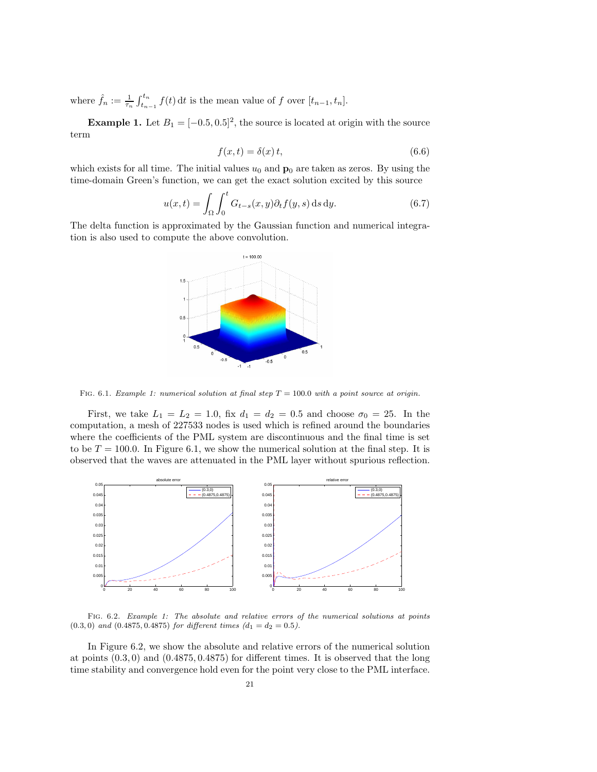where  $\hat{f}_n := \frac{1}{\tau_n} \int_{t_{n-1}}^{t_n} f(t) dt$  is the mean value of f over  $[t_{n-1}, t_n]$ .

**Example 1.** Let  $B_1 = [-0.5, 0.5]^2$ , the source is located at origin with the source term

$$
f(x,t) = \delta(x) t,\tag{6.6}
$$

which exists for all time. The initial values  $u_0$  and  $\mathbf{p}_0$  are taken as zeros. By using the time-domain Green's function, we can get the exact solution excited by this source

$$
u(x,t) = \int_{\Omega} \int_0^t G_{t-s}(x,y) \partial_t f(y,s) \,ds \,dy. \tag{6.7}
$$

The delta function is approximated by the Gaussian function and numerical integration is also used to compute the above convolution.



FIG. 6.1. Example 1: numerical solution at final step  $T = 100.0$  with a point source at origin.

First, we take  $L_1 = L_2 = 1.0$ , fix  $d_1 = d_2 = 0.5$  and choose  $\sigma_0 = 25$ . In the computation, a mesh of 227533 nodes is used which is refined around the boundaries where the coefficients of the PML system are discontinuous and the final time is set to be  $T = 100.0$ . In Figure 6.1, we show the numerical solution at the final step. It is observed that the waves are attenuated in the PML layer without spurious reflection.



FIG. 6.2. Example 1: The absolute and relative errors of the numerical solutions at points  $(0.3, 0)$  and  $(0.4875, 0.4875)$  for different times  $(d_1 = d_2 = 0.5)$ .

In Figure 6.2, we show the absolute and relative errors of the numerical solution at points  $(0.3, 0)$  and  $(0.4875, 0.4875)$  for different times. It is observed that the long time stability and convergence hold even for the point very close to the PML interface.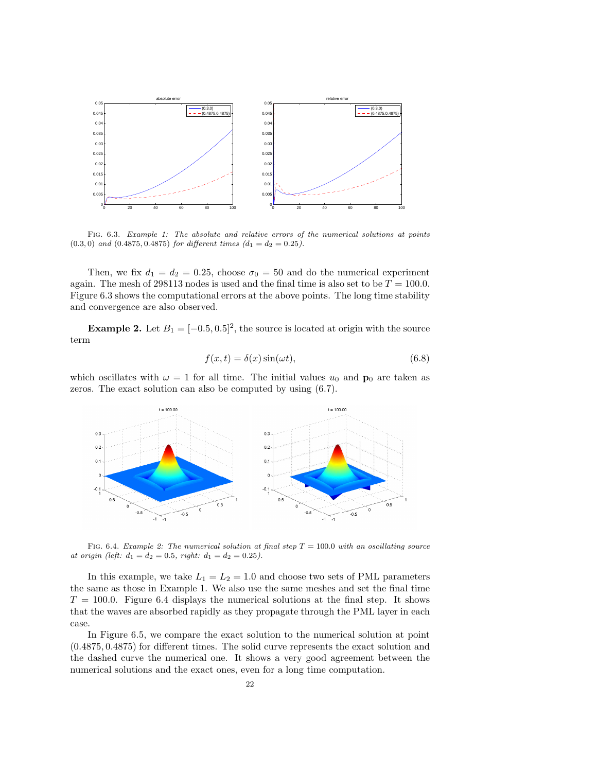

Fig. 6.3. Example 1: The absolute and relative errors of the numerical solutions at points  $(0.3, 0)$  and  $(0.4875, 0.4875)$  for different times  $(d_1 = d_2 = 0.25)$ .

Then, we fix  $d_1 = d_2 = 0.25$ , choose  $\sigma_0 = 50$  and do the numerical experiment again. The mesh of 298113 nodes is used and the final time is also set to be  $T = 100.0$ . Figure 6.3 shows the computational errors at the above points. The long time stability and convergence are also observed.

**Example 2.** Let  $B_1 = [-0.5, 0.5]^2$ , the source is located at origin with the source term

$$
f(x,t) = \delta(x)\sin(\omega t),\tag{6.8}
$$

which oscillates with  $\omega = 1$  for all time. The initial values  $u_0$  and  $\mathbf{p}_0$  are taken as zeros. The exact solution can also be computed by using (6.7).



FIG. 6.4. Example 2: The numerical solution at final step  $T = 100.0$  with an oscillating source at origin (left:  $d_1 = d_2 = 0.5$ , right:  $d_1 = d_2 = 0.25$ ).

In this example, we take  $L_1 = L_2 = 1.0$  and choose two sets of PML parameters the same as those in Example 1. We also use the same meshes and set the final time  $T = 100.0$ . Figure 6.4 displays the numerical solutions at the final step. It shows that the waves are absorbed rapidly as they propagate through the PML layer in each case.

In Figure 6.5, we compare the exact solution to the numerical solution at point (0.4875, 0.4875) for different times. The solid curve represents the exact solution and the dashed curve the numerical one. It shows a very good agreement between the numerical solutions and the exact ones, even for a long time computation.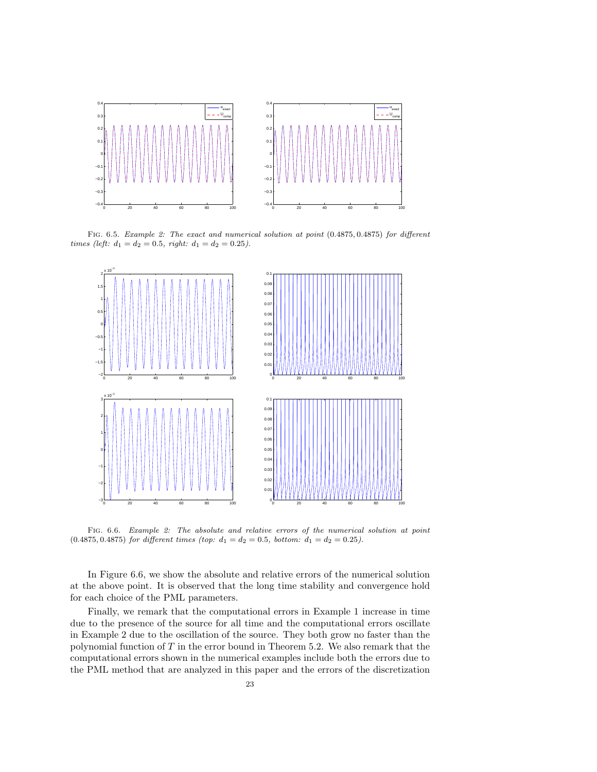

FIG. 6.5. Example 2: The exact and numerical solution at point  $(0.4875, 0.4875)$  for different times (left:  $d_1 = d_2 = 0.5$ , right:  $d_1 = d_2 = 0.25$ ).



Fig. 6.6. Example 2: The absolute and relative errors of the numerical solution at point  $(0.4875, 0.4875)$  for different times (top:  $d_1 = d_2 = 0.5$ , bottom:  $d_1 = d_2 = 0.25$ ).

In Figure 6.6, we show the absolute and relative errors of the numerical solution at the above point. It is observed that the long time stability and convergence hold for each choice of the PML parameters.

Finally, we remark that the computational errors in Example 1 increase in time due to the presence of the source for all time and the computational errors oscillate in Example 2 due to the oscillation of the source. They both grow no faster than the polynomial function of T in the error bound in Theorem 5.2. We also remark that the computational errors shown in the numerical examples include both the errors due to the PML method that are analyzed in this paper and the errors of the discretization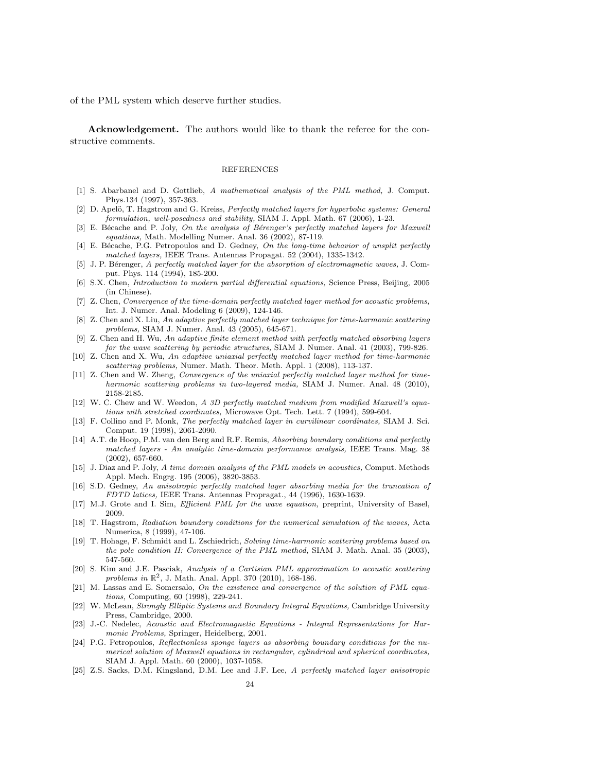of the PML system which deserve further studies.

Acknowledgement. The authors would like to thank the referee for the constructive comments.

## REFERENCES

- [1] S. Abarbanel and D. Gottlieb, A mathematical analysis of the PML method, J. Comput. Phys.134 (1997), 357-363.
- [2] D. Apelö, T. Hagstrom and G. Kreiss, Perfectly matched layers for hyperbolic systems: General formulation, well-posedness and stability, SIAM J. Appl. Math. 67 (2006), 1-23.
- [3] E. Bécache and P. Joly, On the analysis of Bérenger's perfectly matched layers for Maxwell equations, Math. Modelling Numer. Anal. 36 (2002), 87-119.
- [4] E. Bécache, P.G. Petropoulos and D. Gedney, On the long-time behavior of unsplit perfectly matched layers, IEEE Trans. Antennas Propagat. 52 (2004), 1335-1342.
- [5] J. P. Bérenger, A perfectly matched layer for the absorption of electromagnetic waves, J. Comput. Phys. 114 (1994), 185-200.
- [6] S.X. Chen, Introduction to modern partial differential equations, Science Press, Beijing, 2005 (in Chinese).
- [7] Z. Chen, Convergence of the time-domain perfectly matched layer method for acoustic problems, Int. J. Numer. Anal. Modeling 6 (2009), 124-146.
- [8] Z. Chen and X. Liu, An adaptive perfectly matched layer technique for time-harmonic scattering problems, SIAM J. Numer. Anal. 43 (2005), 645-671.
- [9] Z. Chen and H. Wu, An adaptive finite element method with perfectly matched absorbing layers for the wave scattering by periodic structures, SIAM J. Numer. Anal. 41 (2003), 799-826.
- [10] Z. Chen and X. Wu, An adaptive uniaxial perfectly matched layer method for time-harmonic scattering problems, Numer. Math. Theor. Meth. Appl. 1 (2008), 113-137.
- [11] Z. Chen and W. Zheng, Convergence of the uniaxial perfectly matched layer method for timeharmonic scattering problems in two-layered media, SIAM J. Numer. Anal. 48 (2010), 2158-2185.
- [12] W. C. Chew and W. Weedon, A 3D perfectly matched medium from modified Maxwell's equations with stretched coordinates, Microwave Opt. Tech. Lett. 7 (1994), 599-604.
- [13] F. Collino and P. Monk, The perfectly matched layer in curvilinear coordinates, SIAM J. Sci. Comput. 19 (1998), 2061-2090.
- [14] A.T. de Hoop, P.M. van den Berg and R.F. Remis, Absorbing boundary conditions and perfectly matched layers - An analytic time-domain performance analysis, IEEE Trans. Mag. 38 (2002), 657-660.
- [15] J. Diaz and P. Joly, A time domain analysis of the PML models in acoustics, Comput. Methods Appl. Mech. Engrg. 195 (2006), 3820-3853.
- [16] S.D. Gedney, An anisotropic perfectly matched layer absorbing media for the truncation of FDTD latices, IEEE Trans. Antennas Propragat., 44 (1996), 1630-1639.
- [17] M.J. Grote and I. Sim, *Efficient PML for the wave equation*, preprint, University of Basel, 2009.
- [18] T. Hagstrom, Radiation boundary conditions for the numerical simulation of the waves, Acta Numerica, 8 (1999), 47-106.
- [19] T. Hohage, F. Schmidt and L. Zschiedrich, Solving time-harmonic scattering problems based on the pole condition II: Convergence of the PML method, SIAM J. Math. Anal. 35 (2003), 547-560.
- [20] S. Kim and J.E. Pasciak, Analysis of a Cartisian PML approximation to acoustic scattering problems in  $\mathbb{R}^2$ , J. Math. Anal. Appl. 370 (2010), 168-186.
- [21] M. Lassas and E. Somersalo, On the existence and convergence of the solution of PML equations, Computing, 60 (1998), 229-241.
- [22] W. McLean, Strongly Elliptic Systems and Boundary Integral Equations, Cambridge University Press, Cambridge, 2000.
- [23] J.-C. Nedelec, Acoustic and Electromagnetic Equations Integral Representations for Harmonic Problems, Springer, Heidelberg, 2001.
- [24] P.G. Petropoulos, Reflectionless sponge layers as absorbing boundary conditions for the numerical solution of Maxwell equations in rectangular, cylindrical and spherical coordinates, SIAM J. Appl. Math. 60 (2000), 1037-1058.
- [25] Z.S. Sacks, D.M. Kingsland, D.M. Lee and J.F. Lee, A perfectly matched layer anisotropic